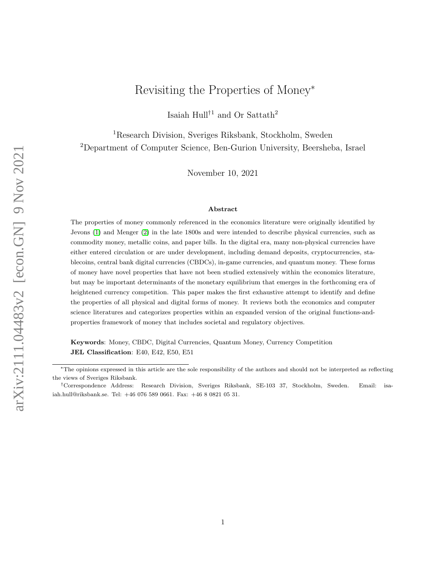# Revisiting the Properties of Money<sup>∗</sup>

Isaiah Hull<br/>†1 and Or Sattath<sup>2</sup>

<span id="page-0-0"></span><sup>1</sup>Research Division, Sveriges Riksbank, Stockholm, Sweden <sup>2</sup>Department of Computer Science, Ben-Gurion University, Beersheba, Israel

November 10, 2021

#### Abstract

The properties of money commonly referenced in the economics literature were originally identified by Jevons [\(1\)](#page-21-0) and Menger [\(2\)](#page-21-1) in the late 1800s and were intended to describe physical currencies, such as commodity money, metallic coins, and paper bills. In the digital era, many non-physical currencies have either entered circulation or are under development, including demand deposits, cryptocurrencies, stablecoins, central bank digital currencies (CBDCs), in-game currencies, and quantum money. These forms of money have novel properties that have not been studied extensively within the economics literature, but may be important determinants of the monetary equilibrium that emerges in the forthcoming era of heightened currency competition. This paper makes the first exhaustive attempt to identify and define the properties of all physical and digital forms of money. It reviews both the economics and computer science literatures and categorizes properties within an expanded version of the original functions-andproperties framework of money that includes societal and regulatory objectives.

Keywords: Money, CBDC, Digital Currencies, Quantum Money, Currency Competition JEL Classification: E40, E42, E50, E51

<sup>∗</sup>The opinions expressed in this article are the sole responsibility of the authors and should not be interpreted as reflecting the views of Sveriges Riksbank.

<sup>†</sup>Correspondence Address: Research Division, Sveriges Riksbank, SE-103 37, Stockholm, Sweden. Email: isaiah.hull@riksbank.se. Tel: +46 076 589 0661. Fax: +46 8 0821 05 31.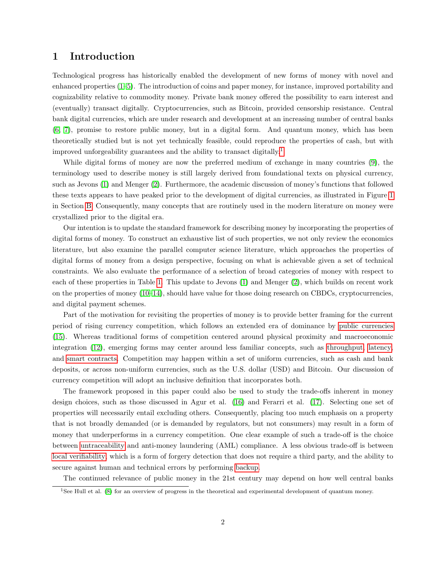### 1 Introduction

Technological progress has historically enabled the development of new forms of money with novel and enhanced properties [\(1](#page-21-0)[–5\)](#page-21-2). The introduction of coins and paper money, for instance, improved portability and cognizability relative to commodity money. Private bank money offered the possibility to earn interest and (eventually) transact digitally. Cryptocurrencies, such as Bitcoin, provided censorship resistance. Central bank digital currencies, which are under research and development at an increasing number of central banks [\(6,](#page-21-3) [7\)](#page-21-4), promise to restore public money, but in a digital form. And quantum money, which has been theoretically studied but is not yet technically feasible, could reproduce the properties of cash, but with improved unforgeability guarantees and the ability to transact digitally.[1](#page-0-0)

While digital forms of money are now the preferred medium of exchange in many countries [\(9\)](#page-21-5), the terminology used to describe money is still largely derived from foundational texts on physical currency, such as Jevons [\(1\)](#page-21-0) and Menger [\(2\)](#page-21-1). Furthermore, the academic discussion of money's functions that followed these texts appears to have peaked prior to the development of digital currencies, as illustrated in Figure [1](#page-20-0) in Section [B.](#page-20-1) Consequently, many concepts that are routinely used in the modern literature on money were crystallized prior to the digital era.

Our intention is to update the standard framework for describing money by incorporating the properties of digital forms of money. To construct an exhaustive list of such properties, we not only review the economics literature, but also examine the parallel computer science literature, which approaches the properties of digital forms of money from a design perspective, focusing on what is achievable given a set of technical constraints. We also evaluate the performance of a selection of broad categories of money with respect to each of these properties in Table [1.](#page-4-0) This update to Jevons [\(1\)](#page-21-0) and Menger [\(2\)](#page-21-1), which builds on recent work on the properties of money [\(10–](#page-21-6)[14\)](#page-21-7), should have value for those doing research on CBDCs, cryptocurrencies, and digital payment schemes.

Part of the motivation for revisiting the properties of money is to provide better framing for the current period of rising currency competition, which follows an extended era of dominance by [public currencies](#page-16-0) [\(15\)](#page-21-8). Whereas traditional forms of competition centered around physical proximity and macroeconomic integration [\(12\)](#page-21-9), emerging forms may center around less familiar concepts, such as [throughput,](#page-9-0) [latency,](#page-6-0) and [smart contracts.](#page-9-1) Competition may happen within a set of uniform currencies, such as cash and bank deposits, or across non-uniform currencies, such as the U.S. dollar (USD) and Bitcoin. Our discussion of currency competition will adopt an inclusive definition that incorporates both.

The framework proposed in this paper could also be used to study the trade-offs inherent in money design choices, such as those discussed in Agur et al. [\(16\)](#page-21-10) and Ferarri et al. [\(17\)](#page-21-11). Selecting one set of properties will necessarily entail excluding others. Consequently, placing too much emphasis on a property that is not broadly demanded (or is demanded by regulators, but not consumers) may result in a form of money that underperforms in a currency competition. One clear example of such a trade-off is the choice between [untraceability](#page-10-0) and anti-money laundering (AML) compliance. A less obvious trade-off is between [local verifiability,](#page-7-0) which is a form of forgery detection that does not require a third party, and the ability to secure against human and technical errors by performing [backup.](#page-11-0)

The continued relevance of public money in the 21st century may depend on how well central banks

<sup>1</sup>See Hull et al. [\(8\)](#page-21-12) for an overview of progress in the theoretical and experimental development of quantum money.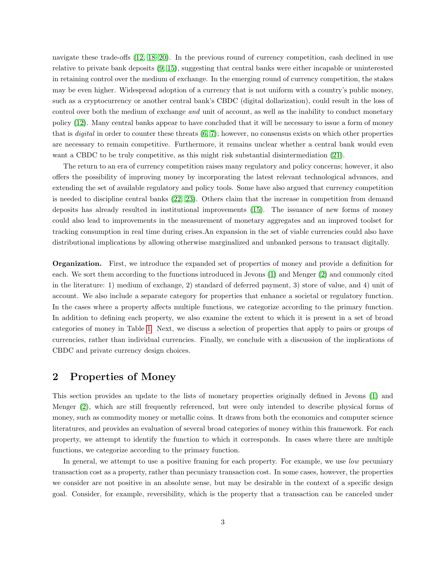navigate these trade-offs [\(12,](#page-21-9) [18](#page-21-13)[–20\)](#page-21-14). In the previous round of currency competition, cash declined in use relative to private bank deposits [\(9,](#page-21-5) [15\)](#page-21-8), suggesting that central banks were either incapable or uninterested in retaining control over the medium of exchange. In the emerging round of currency competition, the stakes may be even higher. Widespread adoption of a currency that is not uniform with a country's public money, such as a cryptocurrency or another central bank's CBDC (digital dollarization), could result in the loss of control over both the medium of exchange *and* unit of account, as well as the inability to conduct monetary policy [\(12\)](#page-21-9). Many central banks appear to have concluded that it will be necessary to issue a form of money that is *digital* in order to counter these threats  $(6, 7)$  $(6, 7)$ ; however, no consensus exists on which other properties are necessary to remain competitive. Furthermore, it remains unclear whether a central bank would even want a CBDC to be truly competitive, as this might risk substantial disintermediation [\(21\)](#page-21-15).

The return to an era of currency competition raises many regulatory and policy concerns; however, it also offers the possibility of improving money by incorporating the latest relevant technological advances, and extending the set of available regulatory and policy tools. Some have also argued that currency competition is needed to discipline central banks [\(22,](#page-21-16) [23\)](#page-22-0). Others claim that the increase in competition from demand deposits has already resulted in institutional improvements [\(15\)](#page-21-8). The issuance of new forms of money could also lead to improvements in the measurement of monetary aggregates and an improved toolset for tracking consumption in real time during crises.An expansion in the set of viable currencies could also have distributional implications by allowing otherwise marginalized and unbanked persons to transact digitally.

Organization. First, we introduce the expanded set of properties of money and provide a definition for each. We sort them according to the functions introduced in Jevons [\(1\)](#page-21-0) and Menger [\(2\)](#page-21-1) and commonly cited in the literature: 1) medium of exchange, 2) standard of deferred payment, 3) store of value, and 4) unit of account. We also include a separate category for properties that enhance a societal or regulatory function. In the cases where a property affects multiple functions, we categorize according to the primary function. In addition to defining each property, we also examine the extent to which it is present in a set of broad categories of money in Table [1.](#page-4-0) Next, we discuss a selection of properties that apply to pairs or groups of currencies, rather than individual currencies. Finally, we conclude with a discussion of the implications of CBDC and private currency design choices.

### 2 Properties of Money

This section provides an update to the lists of monetary properties originally defined in Jevons [\(1\)](#page-21-0) and Menger [\(2\)](#page-21-1), which are still frequently referenced, but were only intended to describe physical forms of money, such as commodity money or metallic coins. It draws from both the economics and computer science literatures, and provides an evaluation of several broad categories of money within this framework. For each property, we attempt to identify the function to which it corresponds. In cases where there are multiple functions, we categorize according to the primary function.

In general, we attempt to use a positive framing for each property. For example, we use low pecuniary transaction cost as a property, rather than pecuniary transaction cost. In some cases, however, the properties we consider are not positive in an absolute sense, but may be desirable in the context of a specific design goal. Consider, for example, reversibility, which is the property that a transaction can be canceled under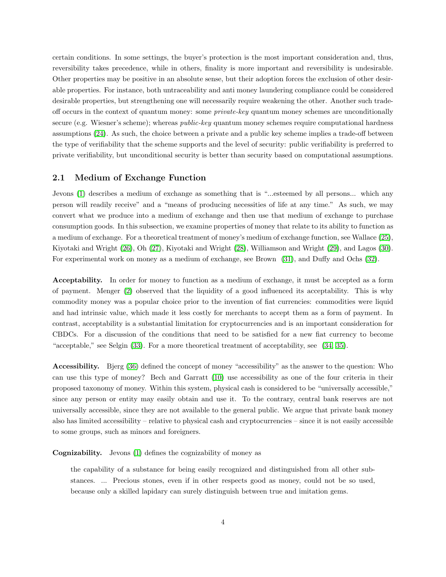certain conditions. In some settings, the buyer's protection is the most important consideration and, thus, reversibility takes precedence, while in others, finality is more important and reversibility is undesirable. Other properties may be positive in an absolute sense, but their adoption forces the exclusion of other desirable properties. For instance, both untraceability and anti money laundering compliance could be considered desirable properties, but strengthening one will necessarily require weakening the other. Another such tradeoff occurs in the context of quantum money: some private-key quantum money schemes are unconditionally secure (e.g. Wiesner's scheme); whereas *public-key* quantum money schemes require computational hardness assumptions [\(24\)](#page-22-1). As such, the choice between a private and a public key scheme implies a trade-off between the type of verifiability that the scheme supports and the level of security: public verifiability is preferred to private verifiability, but unconditional security is better than security based on computational assumptions.

#### <span id="page-3-0"></span>2.1 Medium of Exchange Function

Jevons [\(1\)](#page-21-0) describes a medium of exchange as something that is "...esteemed by all persons... which any person will readily receive" and a "means of producing necessities of life at any time." As such, we may convert what we produce into a medium of exchange and then use that medium of exchange to purchase consumption goods. In this subsection, we examine properties of money that relate to its ability to function as a medium of exchange. For a theoretical treatment of money's medium of exchange function, see Wallace [\(25\)](#page-22-2), Kiyotaki and Wright [\(26\)](#page-22-3), Oh [\(27\)](#page-22-4), Kiyotaki and Wright [\(28\)](#page-22-5), Williamson and Wright [\(29\)](#page-22-6), and Lagos [\(30\)](#page-22-7). For experimental work on money as a medium of exchange, see Brown [\(31\)](#page-22-8), and Duffy and Ochs [\(32\)](#page-22-9).

<span id="page-3-1"></span>Acceptability. In order for money to function as a medium of exchange, it must be accepted as a form of payment. Menger [\(2\)](#page-21-1) observed that the liquidity of a good influenced its acceptability. This is why commodity money was a popular choice prior to the invention of fiat currencies: commodities were liquid and had intrinsic value, which made it less costly for merchants to accept them as a form of payment. In contrast, acceptability is a substantial limitation for cryptocurrencies and is an important consideration for CBDCs. For a discussion of the conditions that need to be satisfied for a new fiat currency to become "acceptable," see Selgin [\(33\)](#page-22-10). For a more theoretical treatment of acceptability, see [\(34,](#page-22-11) [35\)](#page-22-12).

<span id="page-3-2"></span>Accessibility. Bjerg [\(36\)](#page-22-13) defined the concept of money "accessibility" as the answer to the question: Who can use this type of money? Bech and Garratt [\(10\)](#page-21-6) use accessibility as one of the four criteria in their proposed taxonomy of money. Within this system, physical cash is considered to be "universally accessible," since any person or entity may easily obtain and use it. To the contrary, central bank reserves are not universally accessible, since they are not available to the general public. We argue that private bank money also has limited accessibility – relative to physical cash and cryptocurrencies – since it is not easily accessible to some groups, such as minors and foreigners.

<span id="page-3-3"></span>Cognizability. Jevons [\(1\)](#page-21-0) defines the cognizability of money as

the capability of a substance for being easily recognized and distinguished from all other substances. ... Precious stones, even if in other respects good as money, could not be so used, because only a skilled lapidary can surely distinguish between true and imitation gems.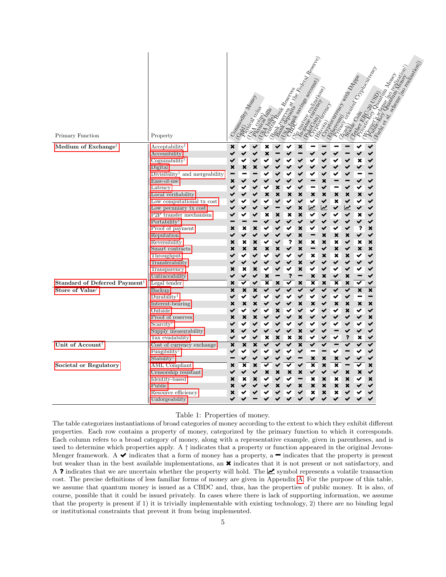| Primary Function                          | Property                                              | Commodity Manufacture |                           |                           |   |   |   |                           | Mark Reserved Marketing<br>Bank saying sa congress of Congress | Important                  | Strategy Manufacturer Manufacturer<br>tereday |   |   | Marian Diploping River    | MAN MORE | o reaj;<br>In Idizazion) | saleme (ho realistation) |
|-------------------------------------------|-------------------------------------------------------|-----------------------|---------------------------|---------------------------|---|---|---|---------------------------|----------------------------------------------------------------|----------------------------|-----------------------------------------------|---|---|---------------------------|----------|--------------------------|--------------------------|
| Medium of Exchange <sup>†</sup>           | $Acceptability^{\dagger}$                             | ×                     |                           |                           |   |   |   |                           |                                                                |                            |                                               |   |   |                           |          |                          |                          |
|                                           | Accessibility                                         |                       |                           |                           |   |   |   |                           |                                                                |                            |                                               |   |   |                           |          |                          |                          |
|                                           | Cognizability <sup>†</sup>                            |                       |                           |                           |   |   |   |                           |                                                                |                            |                                               |   | × |                           |          |                          |                          |
|                                           | Digital<br>Divisibility <sup>†</sup> and mergeability | ×                     | ×                         | ×                         |   |   |   |                           |                                                                |                            |                                               |   |   |                           |          |                          |                          |
|                                           | Ease-of-use                                           | ×                     |                           |                           |   |   |   |                           |                                                                | ×                          |                                               |   |   | ✔                         |          |                          |                          |
|                                           | Latency                                               |                       |                           |                           |   |   |   |                           |                                                                |                            |                                               |   |   | ✔                         |          |                          |                          |
|                                           | Local verifiability                                   |                       |                           |                           | × | × | × | ×                         | ×                                                              | $\boldsymbol{\mathsf{x}}$  | ×                                             | × | × | ✔                         |          |                          |                          |
|                                           | Low computational tx cost                             |                       |                           |                           |   |   |   |                           |                                                                | ✔                          | ×                                             |   |   |                           |          |                          |                          |
|                                           | Low pecuniary tx cost                                 |                       |                           |                           |   |   |   | $\boldsymbol{\mathsf{x}}$ | $\boldsymbol{\mathcal{w}}$                                     | $\boldsymbol{\mathcal{W}}$ | ✔                                             |   |   | ✔                         |          |                          |                          |
|                                           | P2P transfer mechanism                                |                       |                           |                           | × | × | × | ×                         |                                                                | ✔                          | ✔                                             |   | × | ✔                         |          |                          |                          |
|                                           | Portability <sup>†</sup>                              |                       |                           |                           |   |   |   |                           |                                                                |                            |                                               |   |   |                           |          |                          |                          |
|                                           | Proof of payment<br>Reputation                        | ×                     |                           | ×                         | ✔ |   |   | ×<br>×                    |                                                                | ✔<br>×                     | ✔<br>×                                        |   | ? | ×<br>✔                    |          |                          |                          |
|                                           | Reversibility                                         | ×                     | ×                         | ×                         |   |   | ? | ×                         | ×                                                              | $\boldsymbol{\mathsf{x}}$  | ×                                             |   | × | ×                         |          |                          |                          |
|                                           | Smart contracts                                       | ×                     | ×                         | ×                         | × |   |   | ×                         |                                                                | ✔                          | $\boldsymbol{\mathsf{x}}$                     |   | × | $\boldsymbol{\mathsf{x}}$ |          |                          |                          |
|                                           | Throughput                                            |                       |                           |                           |   |   |   |                           | ×                                                              | ×                          | ×                                             | × |   | ✔                         |          |                          |                          |
|                                           | Transferability                                       |                       |                           |                           |   |   |   | ×                         |                                                                |                            |                                               |   |   |                           |          |                          |                          |
|                                           | Transparency                                          | ×                     | ×                         | ×                         |   |   |   | ×                         |                                                                |                            | ✔                                             |   |   | ✔                         |          |                          |                          |
|                                           | Untraceability                                        |                       |                           | ✔                         | × |   | ? |                           | ×                                                              | ×                          | ✔                                             | × |   | ✔                         |          |                          |                          |
| Standard of Deferred Payment <sup>†</sup> | Legal tender                                          | ×                     | ✔                         | ✔                         | × | × | ✔ | ×                         | ×                                                              | ×                          | ×                                             | × |   | ✔                         |          |                          |                          |
| Store of Value <sup>†</sup>               | Backup<br>$Durability^{\dagger}$                      | ×                     | $\boldsymbol{\mathsf{x}}$ | $\boldsymbol{\mathsf{x}}$ | ✔ |   |   |                           |                                                                | ✔<br>✔                     | ✔                                             |   | × | ×<br>-                    |          |                          |                          |
|                                           | Interest-bearing                                      | ✔<br>×                | ×                         | ✔<br>×                    |   |   |   | ×                         | ×                                                              | ✔                          | ✔<br>×                                        | × | × | ×                         |          |                          |                          |
|                                           | Outside                                               |                       |                           |                           |   |   |   |                           |                                                                |                            | ↩                                             | × |   | ✔                         |          |                          |                          |
|                                           | Proof of reserves                                     | ×                     | ×                         |                           |   |   |   | ×                         |                                                                |                            |                                               |   |   | ×                         |          |                          |                          |
|                                           | $S\text{carcity}^{\dagger}$                           |                       |                           |                           |   |   |   |                           |                                                                |                            |                                               |   |   | ✔                         |          |                          |                          |
|                                           | Supply measurability                                  | ×                     |                           |                           |   |   |   | ×                         |                                                                |                            |                                               |   |   |                           |          |                          |                          |
|                                           | Tax evadability                                       | ✔                     |                           |                           | × | × | × | ×                         |                                                                |                            | ✔                                             | ? | × |                           |          |                          |                          |
| Unit of Account <sup>†</sup>              | Cost of currency exchange                             | ×                     |                           |                           |   |   |   | ×                         |                                                                |                            |                                               |   |   |                           |          |                          |                          |
|                                           | Fungibility                                           | ✔                     |                           |                           |   |   |   |                           |                                                                |                            |                                               |   |   | ✔                         |          |                          |                          |
|                                           | Stability <sup>†</sup>                                |                       |                           |                           |   |   |   |                           | ×                                                              | $\boldsymbol{\mathsf{x}}$  | ×                                             |   |   | ✔                         |          |                          |                          |
| Societal or Regulatory                    | <b>AML</b> Compliant<br>Censorship resistant          | ×                     |                           | ×                         | × |   | × | ×                         | ×                                                              | ×<br>✔                     | ×<br>✔                                        | × | × | ×<br>✔                    |          |                          |                          |
|                                           | Identity-based                                        | ×                     | x                         | ×                         |   |   |   |                           | ×                                                              | ×                          | ×                                             | × |   | ×                         |          |                          |                          |
|                                           | Public                                                | ×                     |                           |                           |   |   |   | ×                         | ×                                                              | $\pmb{\times}$             | $\boldsymbol{\mathsf{x}}$                     |   |   |                           |          |                          |                          |
|                                           | Resource efficiency                                   | ×                     |                           |                           |   |   |   |                           | ×                                                              | $\pmb{\times}$             | ×                                             |   |   |                           |          |                          |                          |
|                                           | Unforgeability                                        |                       |                           |                           |   |   |   |                           |                                                                |                            |                                               |   |   |                           |          |                          |                          |

#### <span id="page-4-0"></span>Table 1: Properties of money.

The table categorizes instantiations of broad categories of money according to the extent to which they exhibit different properties. Each row contains a property of money, categorized by the primary function to which it corresponds. Each column refers to a broad category of money, along with a representative example, given in parentheses, and is used to determine which properties apply. A  $\dagger$  indicates that a property or function appeared in the original Jevons-Menger framework. A  $\blacktriangleright$  indicates that a form of money has a property, a  $\blacktriangleright$  indicates that the property is present but weaker than in the best available implementations, an  $\boldsymbol{\ast}$  indicates that it is not present or not satisfactory, and A ? indicates that we are uncertain whether the property will hold. The  $\mathcal{L}$  symbol represents a volatile transaction cost. The precise definitions of less familiar forms of money are given in Appendix [A.](#page-19-0) For the purpose of this table, we assume that quantum money is issued as a CBDC and, thus, has the properties of public money. It is also, of course, possible that it could be issued privately. In cases where there is lack of supporting information, we assume that the property is present if 1) it is trivially implementable with existing technology, 2) there are no binding legal or institutional constraints that prevent it from being implemented.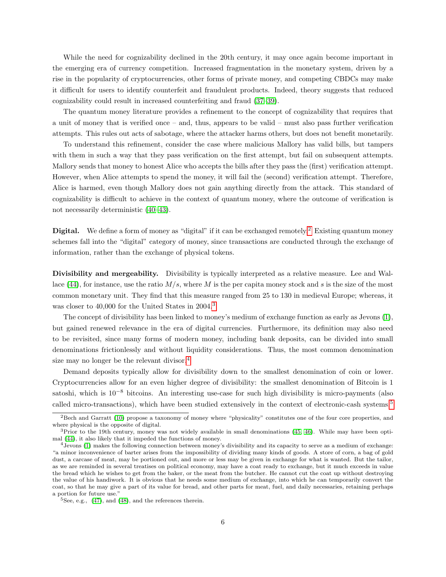While the need for cognizability declined in the 20th century, it may once again become important in the emerging era of currency competition. Increased fragmentation in the monetary system, driven by a rise in the popularity of cryptocurrencies, other forms of private money, and competing CBDCs may make it difficult for users to identify counterfeit and fraudulent products. Indeed, theory suggests that reduced cognizability could result in increased counterfeiting and fraud [\(37–](#page-22-14)[39\)](#page-22-15).

The quantum money literature provides a refinement to the concept of cognizability that requires that a unit of money that is verified once – and, thus, appears to be valid – must also pass further verification attempts. This rules out acts of sabotage, where the attacker harms others, but does not benefit monetarily.

To understand this refinement, consider the case where malicious Mallory has valid bills, but tampers with them in such a way that they pass verification on the first attempt, but fail on subsequent attempts. Mallory sends that money to honest Alice who accepts the bills after they pass the (first) verification attempt. However, when Alice attempts to spend the money, it will fail the (second) verification attempt. Therefore, Alice is harmed, even though Mallory does not gain anything directly from the attack. This standard of cognizability is difficult to achieve in the context of quantum money, where the outcome of verification is not necessarily deterministic [\(40–](#page-22-16)[43\)](#page-22-17).

<span id="page-5-0"></span>Digital. We define a form of money as "digital" if it can be exchanged remotely.<sup>[2](#page-0-0)</sup> Existing quantum money schemes fall into the "digital" category of money, since transactions are conducted through the exchange of information, rather than the exchange of physical tokens.

<span id="page-5-1"></span>Divisibility and mergeability. Divisibility is typically interpreted as a relative measure. Lee and Wal-lace [\(44\)](#page-22-18), for instance, use the ratio  $M/s$ , where M is the per capita money stock and s is the size of the most common monetary unit. They find that this measure ranged from 25 to 130 in medieval Europe; whereas, it was closer to 40,000 for the United States in 2004.<sup>[3](#page-0-0)</sup>

The concept of divisibility has been linked to money's medium of exchange function as early as Jevons [\(1\)](#page-21-0), but gained renewed relevance in the era of digital currencies. Furthermore, its definition may also need to be revisited, since many forms of modern money, including bank deposits, can be divided into small denominations frictionlessly and without liquidity considerations. Thus, the most common denomination size may no longer be the relevant divisor.<sup>[4](#page-0-0)</sup>

Demand deposits typically allow for divisibility down to the smallest denomination of coin or lower. Cryptocurrencies allow for an even higher degree of divisibility: the smallest denomination of Bitcoin is 1 satoshi, which is  $10^{-8}$  bitcoins. An interesting use-case for such high divisibility is micro-payments (also called micro-transactions), which have been studied extensively in the context of electronic-cash systems.[5](#page-0-0)

<sup>2</sup>Bech and Garratt [\(10\)](#page-21-6) propose a taxonomy of money where "physicality" constitutes one of the four core properties, and where physical is the opposite of digital.

<sup>&</sup>lt;sup>3</sup>Prior to the 19th century, money was not widely available in small denominations [\(45,](#page-22-19) [46\)](#page-23-0). While may have been optimal [\(44\)](#page-22-18), it also likely that it impeded the functions of money.

<sup>4</sup>Jevons [\(1\)](#page-21-0) makes the following connection between money's divisibility and its capacity to serve as a medium of exchange: "a minor inconvenience of barter arises from the impossibility of dividing many kinds of goods. A store of corn, a bag of gold dust, a carcase of meat, may be portioned out, and more or less may be given in exchange for what is wanted. But the tailor, as we are reminded in several treatises on political economy, may have a coat ready to exchange, but it much exceeds in value the bread which he wishes to get from the baker, or the meat from the butcher. He cannot cut the coat up without destroying the value of his handiwork. It is obvious that he needs some medium of exchange, into which he can temporarily convert the coat, so that he may give a part of its value for bread, and other parts for meat, fuel, and daily necessaries, retaining perhaps a portion for future use."

 $5$ See, e.g.,  $(47)$ , and  $(48)$ , and the references therein.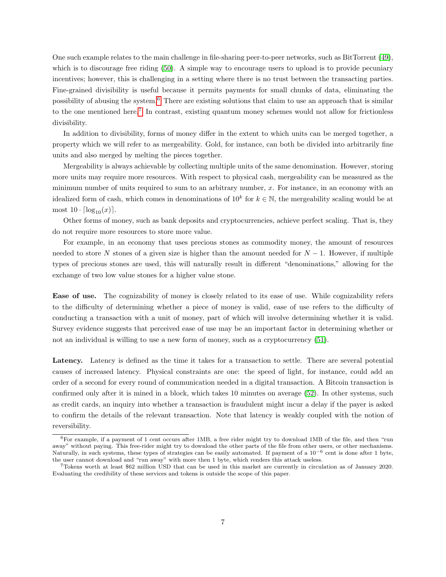One such example relates to the main challenge in file-sharing peer-to-peer networks, such as BitTorrent [\(49\)](#page-23-3), which is to discourage free riding  $(50)$ . A simple way to encourage users to upload is to provide pecuniary incentives; however, this is challenging in a setting where there is no trust between the transacting parties. Fine-grained divisibility is useful because it permits payments for small chunks of data, eliminating the possibility of abusing the system.[6](#page-0-0) There are existing solutions that claim to use an approach that is similar to the one mentioned here.<sup>[7](#page-0-0)</sup> In contrast, existing quantum money schemes would not allow for frictionless divisibility.

In addition to divisibility, forms of money differ in the extent to which units can be merged together, a property which we will refer to as mergeability. Gold, for instance, can both be divided into arbitrarily fine units and also merged by melting the pieces together.

Mergeability is always achievable by collecting multiple units of the same denomination. However, storing more units may require more resources. With respect to physical cash, mergeability can be measured as the minimum number of units required to sum to an arbitrary number, x. For instance, in an economy with an idealized form of cash, which comes in denominations of  $10^k$  for  $k \in \mathbb{N}$ , the mergeability scaling would be at most  $10 \cdot \lceil \log_{10}(x) \rceil$ .

Other forms of money, such as bank deposits and cryptocurrencies, achieve perfect scaling. That is, they do not require more resources to store more value.

For example, in an economy that uses precious stones as commodity money, the amount of resources needed to store N stones of a given size is higher than the amount needed for  $N-1$ . However, if multiple types of precious stones are used, this will naturally result in different "denominations," allowing for the exchange of two low value stones for a higher value stone.

<span id="page-6-1"></span>Ease of use. The cognizability of money is closely related to its ease of use. While cognizability refers to the difficulty of determining whether a piece of money is valid, ease of use refers to the difficulty of conducting a transaction with a unit of money, part of which will involve determining whether it is valid. Survey evidence suggests that perceived ease of use may be an important factor in determining whether or not an individual is willing to use a new form of money, such as a cryptocurrency [\(51\)](#page-23-5).

<span id="page-6-0"></span>Latency. Latency is defined as the time it takes for a transaction to settle. There are several potential causes of increased latency. Physical constraints are one: the speed of light, for instance, could add an order of a second for every round of communication needed in a digital transaction. A Bitcoin transaction is confirmed only after it is mined in a block, which takes 10 minutes on average [\(52\)](#page-23-6). In other systems, such as credit cards, an inquiry into whether a transaction is fraudulent might incur a delay if the payer is asked to confirm the details of the relevant transaction. Note that latency is weakly coupled with the notion of reversibility.

 $6F$ or example, if a payment of 1 cent occurs after 1MB, a free rider might try to download 1MB of the file, and then "run away" without paying. This free-rider might try to download the other parts of the file from other users, or other mechanisms. Naturally, in such systems, these types of strategies can be easily automated. If payment of a 10−<sup>6</sup> cent is done after 1 byte, the user cannot download and "run away" with more then 1 byte, which renders this attack useless.

<sup>7</sup>Tokens worth at least \$62 million USD that can be used in this market are currently in circulation as of January 2020. Evaluating the credibility of these services and tokens is outside the scope of this paper.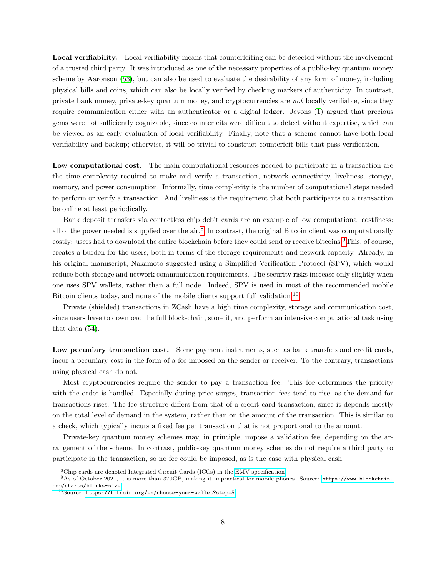<span id="page-7-0"></span>Local verifiability. Local verifiability means that counterfeiting can be detected without the involvement of a trusted third party. It was introduced as one of the necessary properties of a public-key quantum money scheme by Aaronson [\(53\)](#page-23-7), but can also be used to evaluate the desirability of any form of money, including physical bills and coins, which can also be locally verified by checking markers of authenticity. In contrast, private bank money, private-key quantum money, and cryptocurrencies are not locally verifiable, since they require communication either with an authenticator or a digital ledger. Jevons [\(1\)](#page-21-0) argued that precious gems were not sufficiently cognizable, since counterfeits were difficult to detect without expertise, which can be viewed as an early evaluation of local verifiability. Finally, note that a scheme cannot have both local verifiability and backup; otherwise, it will be trivial to construct counterfeit bills that pass verification.

<span id="page-7-1"></span>Low computational cost. The main computational resources needed to participate in a transaction are the time complexity required to make and verify a transaction, network connectivity, liveliness, storage, memory, and power consumption. Informally, time complexity is the number of computational steps needed to perform or verify a transaction. And liveliness is the requirement that both participants to a transaction be online at least periodically.

Bank deposit transfers via contactless chip debit cards are an example of low computational costliness: all of the power needed is supplied over the air.<sup>[8](#page-0-0)</sup> In contrast, the original Bitcoin client was computationally costly: users had to download the entire blockchain before they could send or receive bitcoins.[9](#page-0-0)This, of course, creates a burden for the users, both in terms of the storage requirements and network capacity. Already, in his original manuscript, Nakamoto suggested using a Simplified Verification Protocol (SPV), which would reduce both storage and network communication requirements. The security risks increase only slightly when one uses SPV wallets, rather than a full node. Indeed, SPV is used in most of the recommended mobile Bitcoin clients today, and none of the mobile clients support full validation.<sup>[10](#page-0-0)</sup>

Private (shielded) transactions in ZCash have a high time complexity, storage and communication cost, since users have to download the full block-chain, store it, and perform an intensive computational task using that data [\(54\)](#page-23-8).

<span id="page-7-2"></span>Low pecuniary transaction cost. Some payment instruments, such as bank transfers and credit cards, incur a pecuniary cost in the form of a fee imposed on the sender or receiver. To the contrary, transactions using physical cash do not.

Most cryptocurrencies require the sender to pay a transaction fee. This fee determines the priority with the order is handled. Especially during price surges, transaction fees tend to rise, as the demand for transactions rises. The fee structure differs from that of a credit card transaction, since it depends mostly on the total level of demand in the system, rather than on the amount of the transaction. This is similar to a check, which typically incurs a fixed fee per transaction that is not proportional to the amount.

Private-key quantum money schemes may, in principle, impose a validation fee, depending on the arrangement of the scheme. In contrast, public-key quantum money schemes do not require a third party to participate in the transaction, so no fee could be imposed, as is the case with physical cash.

<sup>8</sup>Chip cards are denoted Integrated Circuit Cards (ICCs) in the [EMV specification.](https://www.emvco.com/emv-technologies/contactless)

<sup>9</sup>As of October 2021, it is more than 370GB, making it impractical for mobile phones. Source: [https://www.blockchain.](https://www.blockchain.com/charts/blocks-size) [com/charts/blocks-size](https://www.blockchain.com/charts/blocks-size).

<sup>10</sup>Source: <https://bitcoin.org/en/choose-your-wallet?step=5>.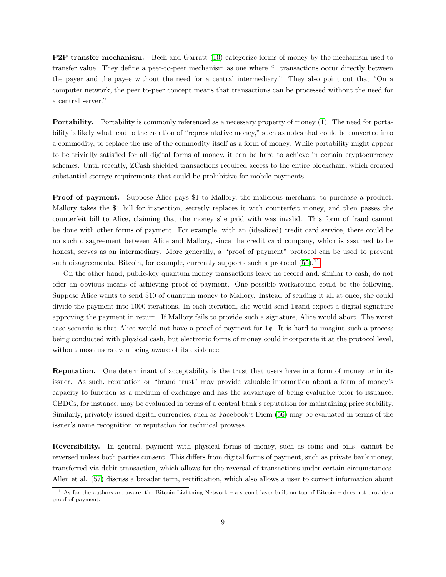<span id="page-8-0"></span>**P2P transfer mechanism.** Bech and Garratt [\(10\)](#page-21-6) categorize forms of money by the mechanism used to transfer value. They define a peer-to-peer mechanism as one where "...transactions occur directly between the payer and the payee without the need for a central intermediary." They also point out that "On a computer network, the peer to-peer concept means that transactions can be processed without the need for a central server."

<span id="page-8-1"></span>Portability. Portability is commonly referenced as a necessary property of money [\(1\)](#page-21-0). The need for portability is likely what lead to the creation of "representative money," such as notes that could be converted into a commodity, to replace the use of the commodity itself as a form of money. While portability might appear to be trivially satisfied for all digital forms of money, it can be hard to achieve in certain cryptocurrency schemes. Until recently, ZCash shielded transactions required access to the entire blockchain, which created substantial storage requirements that could be prohibitive for mobile payments.

<span id="page-8-2"></span>Proof of payment. Suppose Alice pays \$1 to Mallory, the malicious merchant, to purchase a product. Mallory takes the \$1 bill for inspection, secretly replaces it with counterfeit money, and then passes the counterfeit bill to Alice, claiming that the money she paid with was invalid. This form of fraud cannot be done with other forms of payment. For example, with an (idealized) credit card service, there could be no such disagreement between Alice and Mallory, since the credit card company, which is assumed to be honest, serves as an intermediary. More generally, a "proof of payment" protocol can be used to prevent such disagreements. Bitcoin, for example, currently supports such a protocol  $(55)$ .<sup>[11](#page-0-0)</sup>

On the other hand, public-key quantum money transactions leave no record and, similar to cash, do not offer an obvious means of achieving proof of payment. One possible workaround could be the following. Suppose Alice wants to send \$10 of quantum money to Mallory. Instead of sending it all at once, she could divide the payment into 1000 iterations. In each iteration, she would send 1¢and expect a digital signature approving the payment in return. If Mallory fails to provide such a signature, Alice would abort. The worst case scenario is that Alice would not have a proof of payment for 1¢. It is hard to imagine such a process being conducted with physical cash, but electronic forms of money could incorporate it at the protocol level, without most users even being aware of its existence.

<span id="page-8-3"></span>Reputation. One determinant of acceptability is the trust that users have in a form of money or in its issuer. As such, reputation or "brand trust" may provide valuable information about a form of money's capacity to function as a medium of exchange and has the advantage of being evaluable prior to issuance. CBDCs, for instance, may be evaluated in terms of a central bank's reputation for maintaining price stability. Similarly, privately-issued digital currencies, such as Facebook's Diem [\(56\)](#page-23-10) may be evaluated in terms of the issuer's name recognition or reputation for technical prowess.

<span id="page-8-4"></span>Reversibility. In general, payment with physical forms of money, such as coins and bills, cannot be reversed unless both parties consent. This differs from digital forms of payment, such as private bank money, transferred via debit transaction, which allows for the reversal of transactions under certain circumstances. Allen et al. [\(57\)](#page-23-11) discuss a broader term, rectification, which also allows a user to correct information about

 $11$ As far the authors are aware, the Bitcoin Lightning Network – a second layer built on top of Bitcoin – does not provide a proof of payment.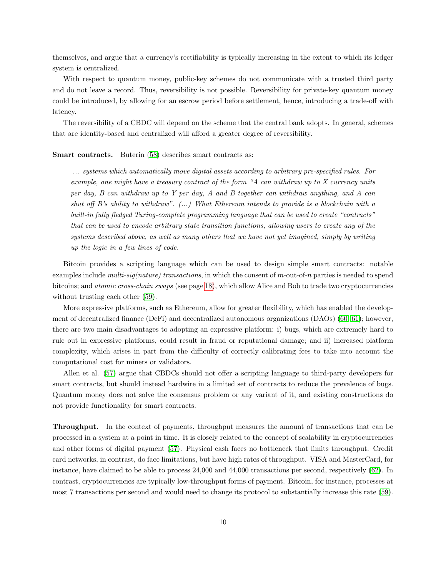themselves, and argue that a currency's rectifiability is typically increasing in the extent to which its ledger system is centralized.

With respect to quantum money, public-key schemes do not communicate with a trusted third party and do not leave a record. Thus, reversibility is not possible. Reversibility for private-key quantum money could be introduced, by allowing for an escrow period before settlement, hence, introducing a trade-off with latency.

The reversibility of a CBDC will depend on the scheme that the central bank adopts. In general, schemes that are identity-based and centralized will afford a greater degree of reversibility.

#### <span id="page-9-1"></span>Smart contracts. Buterin [\(58\)](#page-23-12) describes smart contracts as:

... systems which automatically move digital assets according to arbitrary pre-specified rules. For example, one might have a treasury contract of the form "A can withdraw up to X currency units per day, B can withdraw up to Y per day, A and B together can withdraw anything, and A can shut off B's ability to withdraw".  $(...)$  What Ethereum intends to provide is a blockchain with a built-in fully fledged Turing-complete programming language that can be used to create "contracts" that can be used to encode arbitrary state transition functions, allowing users to create any of the systems described above, as well as many others that we have not yet imagined, simply by writing up the logic in a few lines of code.

Bitcoin provides a scripting language which can be used to design simple smart contracts: notable examples include multi-sig(nature) transactions, in which the consent of m-out-of-n parties is needed to spend bitcoins; and atomic cross-chain swaps (see page [18\)](#page-17-1), which allow Alice and Bob to trade two cryptocurrencies without trusting each other [\(59\)](#page-23-13).

More expressive platforms, such as Ethereum, allow for greater flexibility, which has enabled the development of decentralized finance (DeFi) and decentralized autonomous organizations (DAOs) [\(60,](#page-23-14) [61\)](#page-23-15); however, there are two main disadvantages to adopting an expressive platform: i) bugs, which are extremely hard to rule out in expressive platforms, could result in fraud or reputational damage; and ii) increased platform complexity, which arises in part from the difficulty of correctly calibrating fees to take into account the computational cost for miners or validators.

Allen et al. [\(57\)](#page-23-11) argue that CBDCs should not offer a scripting language to third-party developers for smart contracts, but should instead hardwire in a limited set of contracts to reduce the prevalence of bugs. Quantum money does not solve the consensus problem or any variant of it, and existing constructions do not provide functionality for smart contracts.

<span id="page-9-0"></span>Throughput. In the context of payments, throughput measures the amount of transactions that can be processed in a system at a point in time. It is closely related to the concept of scalability in cryptocurrencies and other forms of digital payment [\(57\)](#page-23-11). Physical cash faces no bottleneck that limits throughput. Credit card networks, in contrast, do face limitations, but have high rates of throughput. VISA and MasterCard, for instance, have claimed to be able to process 24,000 and 44,000 transactions per second, respectively [\(62\)](#page-23-16). In contrast, cryptocurrencies are typically low-throughput forms of payment. Bitcoin, for instance, processes at most 7 transactions per second and would need to change its protocol to substantially increase this rate [\(59\)](#page-23-13).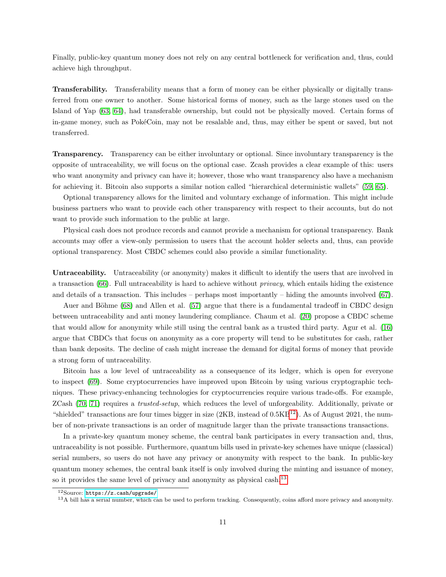Finally, public-key quantum money does not rely on any central bottleneck for verification and, thus, could achieve high throughput.

<span id="page-10-1"></span>Transferability. Transferability means that a form of money can be either physically or digitally transferred from one owner to another. Some historical forms of money, such as the large stones used on the Island of Yap [\(63,](#page-23-17) [64\)](#page-23-18), had transferable ownership, but could not be physically moved. Certain forms of in-game money, such as PokéCoin, may not be resalable and, thus, may either be spent or saved, but not transferred.

<span id="page-10-2"></span>Transparency. Transparency can be either involuntary or optional. Since involuntary transparency is the opposite of untraceability, we will focus on the optional case. Zcash provides a clear example of this: users who want anonymity and privacy can have it; however, those who want transparency also have a mechanism for achieving it. Bitcoin also supports a similar notion called "hierarchical deterministic wallets" [\(59,](#page-23-13) [65\)](#page-23-19).

Optional transparency allows for the limited and voluntary exchange of information. This might include business partners who want to provide each other transparency with respect to their accounts, but do not want to provide such information to the public at large.

Physical cash does not produce records and cannot provide a mechanism for optional transparency. Bank accounts may offer a view-only permission to users that the account holder selects and, thus, can provide optional transparency. Most CBDC schemes could also provide a similar functionality.

<span id="page-10-0"></span>Untraceability. Untraceability (or anonymity) makes it difficult to identify the users that are involved in a transaction [\(66\)](#page-24-0). Full untraceability is hard to achieve without privacy, which entails hiding the existence and details of a transaction. This includes – perhaps most importantly – hiding the amounts involved [\(67\)](#page-24-1).

Auer and Böhme [\(68\)](#page-24-2) and Allen et al. [\(57\)](#page-23-11) argue that there is a fundamental tradeoff in CBDC design between untraceability and anti money laundering compliance. Chaum et al. [\(20\)](#page-21-14) propose a CBDC scheme that would allow for anonymity while still using the central bank as a trusted third party. Agur et al. [\(16\)](#page-21-10) argue that CBDCs that focus on anonymity as a core property will tend to be substitutes for cash, rather than bank deposits. The decline of cash might increase the demand for digital forms of money that provide a strong form of untraceability.

Bitcoin has a low level of untraceability as a consequence of its ledger, which is open for everyone to inspect [\(69\)](#page-24-3). Some cryptocurrencies have improved upon Bitcoin by using various cryptographic techniques. These privacy-enhancing technologies for cryptocurrencies require various trade-offs. For example, ZCash [\(70,](#page-24-4) [71\)](#page-24-5) requires a trusted-setup, which reduces the level of unforgeability. Additionally, private or "shielded" transactions are four times bigger in size  $(2KB, \text{ instead of } 0.5KB^{12})$  $(2KB, \text{ instead of } 0.5KB^{12})$  $(2KB, \text{ instead of } 0.5KB^{12})$ . As of August 2021, the number of non-private transactions is an order of magnitude larger than the private transactions transactions.

In a private-key quantum money scheme, the central bank participates in every transaction and, thus, untraceability is not possible. Furthermore, quantum bills used in private-key schemes have unique (classical) serial numbers, so users do not have any privacy or anonymity with respect to the bank. In public-key quantum money schemes, the central bank itself is only involved during the minting and issuance of money, so it provides the same level of privacy and anonymity as physical cash.<sup>[13](#page-0-0)</sup>

<sup>12</sup>Source: <https://z.cash/upgrade/>

<sup>&</sup>lt;sup>13</sup>A bill has a serial number, which can be used to perform tracking. Consequently, coins afford more privacy and anonymity.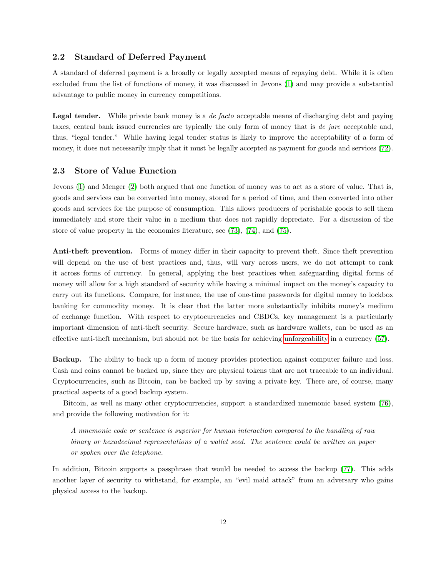#### 2.2 Standard of Deferred Payment

<span id="page-11-1"></span>A standard of deferred payment is a broadly or legally accepted means of repaying debt. While it is often excluded from the list of functions of money, it was discussed in Jevons [\(1\)](#page-21-0) and may provide a substantial advantage to public money in currency competitions.

<span id="page-11-2"></span>Legal tender. While private bank money is a *de facto* acceptable means of discharging debt and paying taxes, central bank issued currencies are typically the only form of money that is de jure acceptable and, thus, "legal tender." While having legal tender status is likely to improve the acceptability of a form of money, it does not necessarily imply that it must be legally accepted as payment for goods and services [\(72\)](#page-24-6).

#### 2.3 Store of Value Function

<span id="page-11-3"></span>Jevons [\(1\)](#page-21-0) and Menger [\(2\)](#page-21-1) both argued that one function of money was to act as a store of value. That is, goods and services can be converted into money, stored for a period of time, and then converted into other goods and services for the purpose of consumption. This allows producers of perishable goods to sell them immediately and store their value in a medium that does not rapidly depreciate. For a discussion of the store of value property in the economics literature, see [\(73\)](#page-24-7), [\(74\)](#page-24-8), and [\(75\)](#page-24-9).

Anti-theft prevention. Forms of money differ in their capacity to prevent theft. Since theft prevention will depend on the use of best practices and, thus, will vary across users, we do not attempt to rank it across forms of currency. In general, applying the best practices when safeguarding digital forms of money will allow for a high standard of security while having a minimal impact on the money's capacity to carry out its functions. Compare, for instance, the use of one-time passwords for digital money to lockbox banking for commodity money. It is clear that the latter more substantially inhibits money's medium of exchange function. With respect to cryptocurrencies and CBDCs, key management is a particularly important dimension of anti-theft security. Secure hardware, such as hardware wallets, can be used as an effective anti-theft mechanism, but should not be the basis for achieving [unforgeability](#page-17-0) in a currency [\(57\)](#page-23-11).

<span id="page-11-0"></span>Backup. The ability to back up a form of money provides protection against computer failure and loss. Cash and coins cannot be backed up, since they are physical tokens that are not traceable to an individual. Cryptocurrencies, such as Bitcoin, can be backed up by saving a private key. There are, of course, many practical aspects of a good backup system.

Bitcoin, as well as many other cryptocurrencies, support a standardized mnemonic based system [\(76\)](#page-24-10), and provide the following motivation for it:

A mnemonic code or sentence is superior for human interaction compared to the handling of raw binary or hexadecimal representations of a wallet seed. The sentence could be written on paper or spoken over the telephone.

In addition, Bitcoin supports a passphrase that would be needed to access the backup [\(77\)](#page-24-11). This adds another layer of security to withstand, for example, an "evil maid attack" from an adversary who gains physical access to the backup.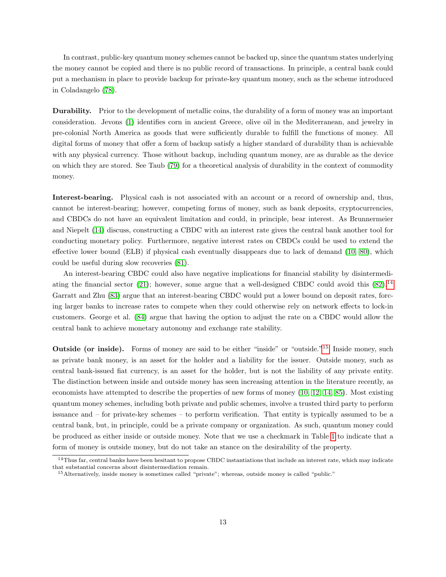In contrast, public-key quantum money schemes cannot be backed up, since the quantum states underlying the money cannot be copied and there is no public record of transactions. In principle, a central bank could put a mechanism in place to provide backup for private-key quantum money, such as the scheme introduced in Coladangelo [\(78\)](#page-24-12).

<span id="page-12-0"></span>Durability. Prior to the development of metallic coins, the durability of a form of money was an important consideration. Jevons [\(1\)](#page-21-0) identifies corn in ancient Greece, olive oil in the Mediterranean, and jewelry in pre-colonial North America as goods that were sufficiently durable to fulfill the functions of money. All digital forms of money that offer a form of backup satisfy a higher standard of durability than is achievable with any physical currency. Those without backup, including quantum money, are as durable as the device on which they are stored. See Taub [\(79\)](#page-24-13) for a theoretical analysis of durability in the context of commodity money.

<span id="page-12-1"></span>Interest-bearing. Physical cash is not associated with an account or a record of ownership and, thus, cannot be interest-bearing; however, competing forms of money, such as bank deposits, cryptocurrencies, and CBDCs do not have an equivalent limitation and could, in principle, bear interest. As Brunnermeier and Niepelt [\(14\)](#page-21-7) discuss, constructing a CBDC with an interest rate gives the central bank another tool for conducting monetary policy. Furthermore, negative interest rates on CBDCs could be used to extend the effective lower bound (ELB) if physical cash eventually disappears due to lack of demand [\(10,](#page-21-6) [80\)](#page-24-14), which could be useful during slow recoveries [\(81\)](#page-24-15).

An interest-bearing CBDC could also have negative implications for financial stability by disintermedi-ating the financial sector [\(21\)](#page-21-15); however, some argue that a well-designed CBDC could avoid this  $(82).<sup>14</sup>$  $(82).<sup>14</sup>$  $(82).<sup>14</sup>$  $(82).<sup>14</sup>$ Garratt and Zhu [\(83\)](#page-24-17) argue that an interest-bearing CBDC would put a lower bound on deposit rates, forcing larger banks to increase rates to compete when they could otherwise rely on network effects to lock-in customers. George et al. [\(84\)](#page-24-18) argue that having the option to adjust the rate on a CBDC would allow the central bank to achieve monetary autonomy and exchange rate stability.

<span id="page-12-2"></span>Outside (or inside). Forms of money are said to be either "inside" or "outside."<sup>[15](#page-0-0)</sup> Inside money, such as private bank money, is an asset for the holder and a liability for the issuer. Outside money, such as central bank-issued fiat currency, is an asset for the holder, but is not the liability of any private entity. The distinction between inside and outside money has seen increasing attention in the literature recently, as economists have attempted to describe the properties of new forms of money [\(10,](#page-21-6) [12,](#page-21-9) [14,](#page-21-7) [85\)](#page-24-19). Most existing quantum money schemes, including both private and public schemes, involve a trusted third party to perform issuance and – for private-key schemes – to perform verification. That entity is typically assumed to be a central bank, but, in principle, could be a private company or organization. As such, quantum money could be produced as either inside or outside money. Note that we use a checkmark in Table [1](#page-4-0) to indicate that a form of money is outside money, but do not take an stance on the desirability of the property.

<sup>&</sup>lt;sup>14</sup>Thus far, central banks have been hesitant to propose CBDC instantiations that include an interest rate, which may indicate that substantial concerns about disintermediation remain.

<sup>15</sup>Alternatively, inside money is sometimes called "private"; whereas, outside money is called "public."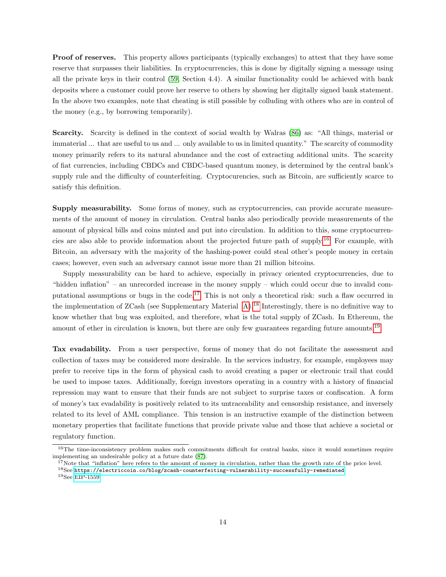<span id="page-13-0"></span>Proof of reserves. This property allows participants (typically exchanges) to attest that they have some reserve that surpasses their liabilities. In cryptocurrencies, this is done by digitally signing a message using all the private keys in their control [\(59,](#page-23-13) Section 4.4). A similar functionality could be achieved with bank deposits where a customer could prove her reserve to others by showing her digitally signed bank statement. In the above two examples, note that cheating is still possible by colluding with others who are in control of the money (e.g., by borrowing temporarily).

<span id="page-13-1"></span>Scarcity. Scarcity is defined in the context of social wealth by Walras [\(86\)](#page-24-20) as: "All things, material or immaterial ... that are useful to us and ... only available to us in limited quantity." The scarcity of commodity money primarily refers to its natural abundance and the cost of extracting additional units. The scarcity of fiat currencies, including CBDCs and CBDC-based quantum money, is determined by the central bank's supply rule and the difficulty of counterfeiting. Cryptocurencies, such as Bitcoin, are sufficiently scarce to satisfy this definition.

<span id="page-13-2"></span>Supply measurability. Some forms of money, such as cryptocurrencies, can provide accurate measurements of the amount of money in circulation. Central banks also periodically provide measurements of the amount of physical bills and coins minted and put into circulation. In addition to this, some cryptocurrencies are also able to provide information about the projected future path of supply.[16](#page-0-0) For example, with Bitcoin, an adversary with the majority of the hashing-power could steal other's people money in certain cases; however, even such an adversary cannot issue more than 21 million bitcoins.

Supply measurability can be hard to achieve, especially in privacy oriented cryptocurrencies, due to "hidden inflation" – an unrecorded increase in the money supply – which could occur due to invalid computational assumptions or bugs in the code.[17](#page-0-0) This is not only a theoretical risk: such a flaw occurred in the implementation of ZCash (see Supplementary Material [A\)](#page-19-0).[18](#page-0-0) Interestingly, there is no definitive way to know whether that bug was exploited, and therefore, what is the total supply of ZCash. In Ethereum, the amount of ether in circulation is known, but there are only few guarantees regarding future amounts.<sup>[19](#page-0-0)</sup>

<span id="page-13-3"></span>Tax evadability. From a user perspective, forms of money that do not facilitate the assessment and collection of taxes may be considered more desirable. In the services industry, for example, employees may prefer to receive tips in the form of physical cash to avoid creating a paper or electronic trail that could be used to impose taxes. Additionally, foreign investors operating in a country with a history of financial repression may want to ensure that their funds are not subject to surprise taxes or confiscation. A form of money's tax evadability is positively related to its untraceability and censorship resistance, and inversely related to its level of AML compliance. This tension is an instructive example of the distinction between monetary properties that facilitate functions that provide private value and those that achieve a societal or regulatory function.

 $17$ Note that "inflation" here refers to the amount of money in circulation, rather than the growth rate of the price level.

<sup>&</sup>lt;sup>16</sup>The time-inconsistency problem makes such commitments difficult for central banks, since it would sometimes require implementing an undesirable policy at a future date [\(87\)](#page-24-21).

 $^{18}{\rm See}$ <https://electriccoin.co/blog/zcash-counterfeiting-vulnerability-successfully-remediated>.

<sup>19</sup>See [EIP-1559.](https://github.com/ethereum/EIPs/blob/master/EIPS/eip-1559.md#eth-burn-precludes-fixed-supply)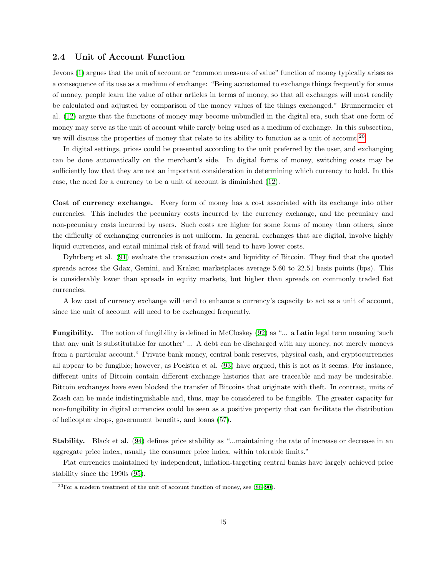#### 2.4 Unit of Account Function

<span id="page-14-0"></span>Jevons [\(1\)](#page-21-0) argues that the unit of account or "common measure of value" function of money typically arises as a consequence of its use as a medium of exchange: "Being accustomed to exchange things frequently for sums of money, people learn the value of other articles in terms of money, so that all exchanges will most readily be calculated and adjusted by comparison of the money values of the things exchanged." Brunnermeier et al. [\(12\)](#page-21-9) argue that the functions of money may become unbundled in the digital era, such that one form of money may serve as the unit of account while rarely being used as a medium of exchange. In this subsection, we will discuss the properties of money that relate to its ability to function as a unit of account.<sup>[20](#page-0-0)</sup>

In digital settings, prices could be presented according to the unit preferred by the user, and exchanging can be done automatically on the merchant's side. In digital forms of money, switching costs may be sufficiently low that they are not an important consideration in determining which currency to hold. In this case, the need for a currency to be a unit of account is diminished [\(12\)](#page-21-9).

<span id="page-14-1"></span>Cost of currency exchange. Every form of money has a cost associated with its exchange into other currencies. This includes the pecuniary costs incurred by the currency exchange, and the pecuniary and non-pecuniary costs incurred by users. Such costs are higher for some forms of money than others, since the difficulty of exchanging currencies is not uniform. In general, exchanges that are digital, involve highly liquid currencies, and entail minimal risk of fraud will tend to have lower costs.

Dyhrberg et al. [\(91\)](#page-25-0) evaluate the transaction costs and liquidity of Bitcoin. They find that the quoted spreads across the Gdax, Gemini, and Kraken marketplaces average 5.60 to 22.51 basis points (bps). This is considerably lower than spreads in equity markets, but higher than spreads on commonly traded fiat currencies.

A low cost of currency exchange will tend to enhance a currency's capacity to act as a unit of account, since the unit of account will need to be exchanged frequently.

<span id="page-14-2"></span>Fungibility. The notion of fungibility is defined in McCloskey [\(92\)](#page-25-1) as "... a Latin legal term meaning 'such that any unit is substitutable for another' ... A debt can be discharged with any money, not merely moneys from a particular account." Private bank money, central bank reserves, physical cash, and cryptocurrencies all appear to be fungible; however, as Poelstra et al. [\(93\)](#page-25-2) have argued, this is not as it seems. For instance, different units of Bitcoin contain different exchange histories that are traceable and may be undesirable. Bitcoin exchanges have even blocked the transfer of Bitcoins that originate with theft. In contrast, units of Zcash can be made indistinguishable and, thus, may be considered to be fungible. The greater capacity for non-fungibility in digital currencies could be seen as a positive property that can facilitate the distribution of helicopter drops, government benefits, and loans [\(57\)](#page-23-11).

<span id="page-14-3"></span>Stability. Black et al. [\(94\)](#page-25-3) defines price stability as "...maintaining the rate of increase or decrease in an aggregate price index, usually the consumer price index, within tolerable limits."

Fiat currencies maintained by independent, inflation-targeting central banks have largely achieved price stability since the 1990s [\(95\)](#page-25-4).

 $20$ For a modern treatment of the unit of account function of money, see  $(88-90)$  $(88-90)$ .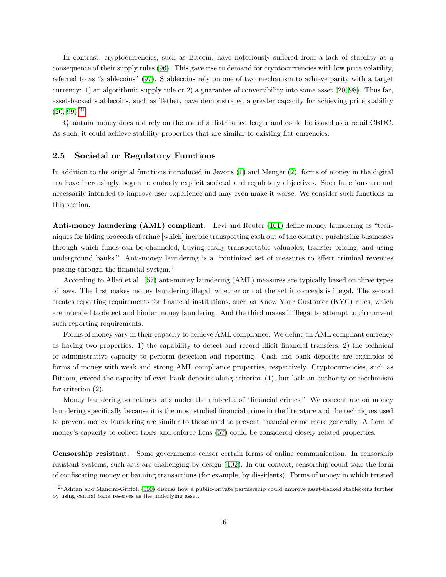In contrast, cryptocurrencies, such as Bitcoin, have notoriously suffered from a lack of stability as a consequence of their supply rules [\(96\)](#page-25-7). This gave rise to demand for cryptocurrencies with low price volatility, referred to as "stablecoins" [\(97\)](#page-25-8). Stablecoins rely on one of two mechanism to achieve parity with a target currency: 1) an algorithmic supply rule or 2) a guarantee of convertibility into some asset [\(20,](#page-21-14) [98\)](#page-25-9). Thus far, asset-backed stablecoins, such as Tether, have demonstrated a greater capacity for achieving price stability  $(20, 99)$  $(20, 99)$ <sup>[21](#page-0-0)</sup>

Quantum money does not rely on the use of a distributed ledger and could be issued as a retail CBDC. As such, it could achieve stability properties that are similar to existing fiat currencies.

#### 2.5 Societal or Regulatory Functions

<span id="page-15-0"></span>In addition to the original functions introduced in Jevons [\(1\)](#page-21-0) and Menger [\(2\)](#page-21-1), forms of money in the digital era have increasingly begun to embody explicit societal and regulatory objectives. Such functions are not necessarily intended to improve user experience and may even make it worse. We consider such functions in this section.

<span id="page-15-1"></span>Anti-money laundering (AML) compliant. Levi and Reuter [\(101\)](#page-25-11) define money laundering as "techniques for hiding proceeds of crime [which] include transporting cash out of the country, purchasing businesses through which funds can be channeled, buying easily transportable valuables, transfer pricing, and using underground banks." Anti-money laundering is a "routinized set of measures to affect criminal revenues passing through the financial system."

According to Allen et al. [\(57\)](#page-23-11) anti-money laundering (AML) measures are typically based on three types of laws. The first makes money laundering illegal, whether or not the act it conceals is illegal. The second creates reporting requirements for financial institutions, such as Know Your Customer (KYC) rules, which are intended to detect and hinder money laundering. And the third makes it illegal to attempt to circumvent such reporting requirements.

Forms of money vary in their capacity to achieve AML compliance. We define an AML compliant currency as having two properties: 1) the capability to detect and record illicit financial transfers; 2) the technical or administrative capacity to perform detection and reporting. Cash and bank deposits are examples of forms of money with weak and strong AML compliance properties, respectively. Cryptocurrencies, such as Bitcoin, exceed the capacity of even bank deposits along criterion (1), but lack an authority or mechanism for criterion (2).

Money laundering sometimes falls under the umbrella of "financial crimes." We concentrate on money laundering specifically because it is the most studied financial crime in the literature and the techniques used to prevent money laundering are similar to those used to prevent financial crime more generally. A form of money's capacity to collect taxes and enforce liens [\(57\)](#page-23-11) could be considered closely related properties.

<span id="page-15-2"></span>Censorship resistant. Some governments censor certain forms of online communication. In censorship resistant systems, such acts are challenging by design [\(102\)](#page-25-12). In our context, censorship could take the form of confiscating money or banning transactions (for example, by dissidents). Forms of money in which trusted

 $^{21}$ Adrian and Mancini-Griffoli [\(100\)](#page-25-13) discuss how a public-private partnership could improve asset-backed stablecoins further by using central bank reserves as the underlying asset.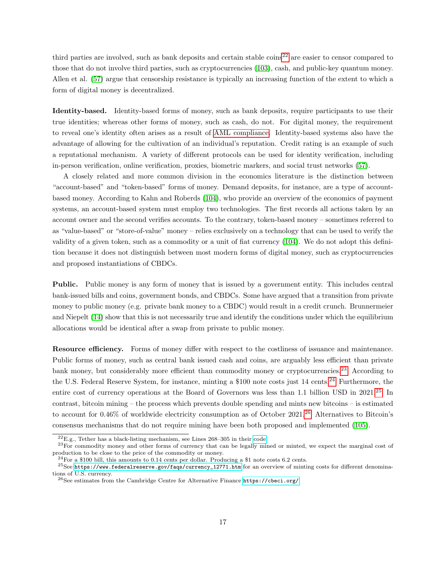third parties are involved, such as bank deposits and certain stable  $\cos^{22}$  $\cos^{22}$  $\cos^{22}$  are easier to censor compared to those that do not involve third parties, such as cryptocurrencies [\(103\)](#page-25-14), cash, and public-key quantum money. Allen et al. [\(57\)](#page-23-11) argue that censorship resistance is typically an increasing function of the extent to which a form of digital money is decentralized.

<span id="page-16-1"></span>Identity-based. Identity-based forms of money, such as bank deposits, require participants to use their true identities; whereas other forms of money, such as cash, do not. For digital money, the requirement to reveal one's identity often arises as a result of [AML compliance.](#page-15-1) Identity-based systems also have the advantage of allowing for the cultivation of an individual's reputation. Credit rating is an example of such a reputational mechanism. A variety of different protocols can be used for identity verification, including in-person verification, online verification, proxies, biometric markers, and social trust networks [\(57\)](#page-23-11).

A closely related and more common division in the economics literature is the distinction between "account-based" and "token-based" forms of money. Demand deposits, for instance, are a type of accountbased money. According to Kahn and Roberds [\(104\)](#page-25-15), who provide an overview of the economics of payment systems, an account-based system must employ two technologies. The first records all actions taken by an account owner and the second verifies accounts. To the contrary, token-based money – sometimes referred to as "value-based" or "store-of-value" money – relies exclusively on a technology that can be used to verify the validity of a given token, such as a commodity or a unit of fiat currency [\(104\)](#page-25-15). We do not adopt this definition because it does not distinguish between most modern forms of digital money, such as cryptocurrencies and proposed instantiations of CBDCs.

<span id="page-16-0"></span>Public. Public money is any form of money that is issued by a government entity. This includes central bank-issued bills and coins, government bonds, and CBDCs. Some have argued that a transition from private money to public money (e.g. private bank money to a CBDC) would result in a credit crunch. Brunnermeier and Niepelt [\(14\)](#page-21-7) show that this is not necessarily true and identify the conditions under which the equilibrium allocations would be identical after a swap from private to public money.

<span id="page-16-2"></span>Resource efficiency. Forms of money differ with respect to the costliness of issuance and maintenance. Public forms of money, such as central bank issued cash and coins, are arguably less efficient than private bank money, but considerably more efficient than commodity money or cryptocurrencies.<sup>[23](#page-0-0)</sup> According to the U.S. Federal Reserve System, for instance, minting a \$100 note costs just 14 cents.<sup>[24](#page-0-0)</sup> Furthermore, the entire cost of currency operations at the Board of Governors was less than 1.1 billion USD in 2021.<sup>[25](#page-0-0)</sup> In contrast, bitcoin mining – the process which prevents double spending and mints new bitcoins – is estimated to account for 0.46% of worldwide electricity consumption as of October 2021.[26](#page-0-0) Alternatives to Bitcoin's consensus mechanisms that do not require mining have been both proposed and implemented [\(105\)](#page-25-16).

 $^{22}E.g.,$  Tether has a black-listing mechanism, see Lines 268–305 in their [code.](https://etherscan.io/address/0xdac17f958d2ee523a2206206994597c13d831ec7#code)

<sup>&</sup>lt;sup>23</sup>For commodity money and other forms of currency that can be legally mined or minted, we expect the marginal cost of production to be close to the price of the commodity or money.

<sup>&</sup>lt;sup>24</sup>For a \$100 bill, this amounts to 0.14 cents per dollar. Producing a \$1 note costs 6.2 cents.

 $^{25}$ See [https://www.federalreserve.gov/faqs/currency\\_12771.htm](https://www.federalreserve.gov/faqs/currency_12771.htm) for an overview of minting costs for different denominations of U.S. currency.

 $^{26}\rm{See}$  estimates from the Cambridge Centre for Alternative Finance  $\texttt{https://cbeci.org/}$  $\texttt{https://cbeci.org/}$  $\texttt{https://cbeci.org/}$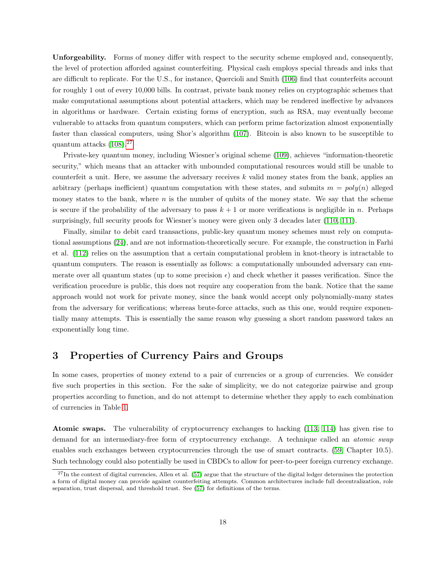<span id="page-17-0"></span>Unforgeability. Forms of money differ with respect to the security scheme employed and, consequently, the level of protection afforded against counterfeiting. Physical cash employs special threads and inks that are difficult to replicate. For the U.S., for instance, Quercioli and Smith [\(106\)](#page-25-17) find that counterfeits account for roughly 1 out of every 10,000 bills. In contrast, private bank money relies on cryptographic schemes that make computational assumptions about potential attackers, which may be rendered ineffective by advances in algorithms or hardware. Certain existing forms of encryption, such as RSA, may eventually become vulnerable to attacks from quantum computers, which can perform prime factorization almost exponentially faster than classical computers, using Shor's algorithm [\(107\)](#page-25-18). Bitcoin is also known to be susceptible to quantum attacks [\(108\)](#page-25-19).[27](#page-0-0)

Private-key quantum money, including Wiesner's original scheme [\(109\)](#page-25-20), achieves "information-theoretic security," which means that an attacker with unbounded computational resources would still be unable to counterfeit a unit. Here, we assume the adversary receives  $k$  valid money states from the bank, applies an arbitrary (perhaps inefficient) quantum computation with these states, and submits  $m = poly(n)$  alleged money states to the bank, where  $n$  is the number of qubits of the money state. We say that the scheme is secure if the probability of the adversary to pass  $k + 1$  or more verifications is negligible in n. Perhaps surprisingly, full security proofs for Wiesner's money were given only 3 decades later [\(110,](#page-25-21) [111\)](#page-26-0).

Finally, similar to debit card transactions, public-key quantum money schemes must rely on computational assumptions [\(24\)](#page-22-1), and are not information-theoretically secure. For example, the construction in Farhi et al. [\(112\)](#page-26-1) relies on the assumption that a certain computational problem in knot-theory is intractable to quantum computers. The reason is essentially as follows: a computationally unbounded adversary can enumerate over all quantum states (up to some precision  $\epsilon$ ) and check whether it passes verification. Since the verification procedure is public, this does not require any cooperation from the bank. Notice that the same approach would not work for private money, since the bank would accept only polynomially-many states from the adversary for verifications; whereas brute-force attacks, such as this one, would require exponentially many attempts. This is essentially the same reason why guessing a short random password takes an exponentially long time.

### 3 Properties of Currency Pairs and Groups

In some cases, properties of money extend to a pair of currencies or a group of currencies. We consider five such properties in this section. For the sake of simplicity, we do not categorize pairwise and group properties according to function, and do not attempt to determine whether they apply to each combination of currencies in Table [1.](#page-4-0)

<span id="page-17-1"></span>Atomic swaps. The vulnerability of cryptocurrency exchanges to hacking [\(113,](#page-26-2) [114\)](#page-26-3) has given rise to demand for an intermediary-free form of cryptocurrency exchange. A technique called an *atomic swap* enables such exchanges between cryptocurrencies through the use of smart contracts. [\(59,](#page-23-13) Chapter 10.5). Such technology could also potentially be used in CBDCs to allow for peer-to-peer foreign currency exchange.

 $^{27}$ In the context of digital currencies, Allen et al. [\(57\)](#page-23-11) argue that the structure of the digital ledger determines the protection a form of digital money can provide against counterfeiting attempts. Common architectures include full decentralization, role separation, trust dispersal, and threshold trust. See [\(57\)](#page-23-11) for definitions of the terms.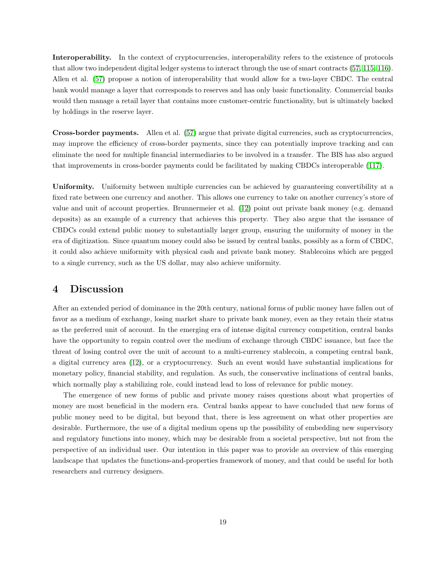Interoperability. In the context of cryptocurrencies, interoperability refers to the existence of protocols that allow two independent digital ledger systems to interact through the use of smart contracts [\(57,](#page-23-11) [115,](#page-26-4) [116\)](#page-26-5). Allen et al. [\(57\)](#page-23-11) propose a notion of interoperability that would allow for a two-layer CBDC. The central bank would manage a layer that corresponds to reserves and has only basic functionality. Commercial banks would then manage a retail layer that contains more customer-centric functionality, but is ultimately backed by holdings in the reserve layer.

Cross-border payments. Allen et al. [\(57\)](#page-23-11) argue that private digital currencies, such as cryptocurrencies, may improve the efficiency of cross-border payments, since they can potentially improve tracking and can eliminate the need for multiple financial intermediaries to be involved in a transfer. The BIS has also argued that improvements in cross-border payments could be facilitated by making CBDCs interoperable [\(117\)](#page-26-6).

Uniformity. Uniformity between multiple currencies can be achieved by guaranteeing convertibility at a fixed rate between one currency and another. This allows one currency to take on another currency's store of value and unit of account properties. Brunnermeier et al. [\(12\)](#page-21-9) point out private bank money (e.g. demand deposits) as an example of a currency that achieves this property. They also argue that the issuance of CBDCs could extend public money to substantially larger group, ensuring the uniformity of money in the era of digitization. Since quantum money could also be issued by central banks, possibly as a form of CBDC, it could also achieve uniformity with physical cash and private bank money. Stablecoins which are pegged to a single currency, such as the US dollar, may also achieve uniformity.

### 4 Discussion

After an extended period of dominance in the 20th century, national forms of public money have fallen out of favor as a medium of exchange, losing market share to private bank money, even as they retain their status as the preferred unit of account. In the emerging era of intense digital currency competition, central banks have the opportunity to regain control over the medium of exchange through CBDC issuance, but face the threat of losing control over the unit of account to a multi-currency stablecoin, a competing central bank, a digital currency area [\(12\)](#page-21-9), or a cryptocurrency. Such an event would have substantial implications for monetary policy, financial stability, and regulation. As such, the conservative inclinations of central banks, which normally play a stabilizing role, could instead lead to loss of relevance for public money.

The emergence of new forms of public and private money raises questions about what properties of money are most beneficial in the modern era. Central banks appear to have concluded that new forms of public money need to be digital, but beyond that, there is less agreement on what other properties are desirable. Furthermore, the use of a digital medium opens up the possibility of embedding new supervisory and regulatory functions into money, which may be desirable from a societal perspective, but not from the perspective of an individual user. Our intention in this paper was to provide an overview of this emerging landscape that updates the functions-and-properties framework of money, and that could be useful for both researchers and currency designers.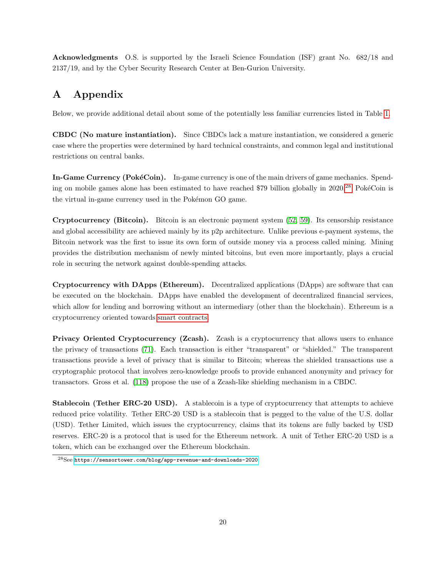Acknowledgments O.S. is supported by the Israeli Science Foundation (ISF) grant No. 682/18 and 2137/19, and by the Cyber Security Research Center at Ben-Gurion University.

## <span id="page-19-0"></span>A Appendix

Below, we provide additional detail about some of the potentially less familiar currencies listed in Table [1.](#page-4-0)

CBDC (No mature instantiation). Since CBDCs lack a mature instantiation, we considered a generic case where the properties were determined by hard technical constraints, and common legal and institutional restrictions on central banks.

In-Game Currency (PokéCoin). In-game currency is one of the main drivers of game mechanics. Spend-ing on mobile games alone has been estimated to have reached \$79 billion globally in 2020.<sup>[28](#page-0-0)</sup> PokéCoin is the virtual in-game currency used in the Pokémon GO game.

Cryptocurrency (Bitcoin). Bitcoin is an electronic payment system [\(52,](#page-23-6) [59\)](#page-23-13). Its censorship resistance and global accessibility are achieved mainly by its p2p architecture. Unlike previous e-payment systems, the Bitcoin network was the first to issue its own form of outside money via a process called mining. Mining provides the distribution mechanism of newly minted bitcoins, but even more importantly, plays a crucial role in securing the network against double-spending attacks.

Cryptocurrency with DApps (Ethereum). Decentralized applications (DApps) are software that can be executed on the blockchain. DApps have enabled the development of decentralized financial services, which allow for lending and borrowing without an intermediary (other than the blockchain). Ethereum is a cryptocurrency oriented towards [smart contracts.](#page-9-1)

Privacy Oriented Cryptocurrency (Zcash). Zcash is a cryptocurrency that allows users to enhance the privacy of transactions [\(71\)](#page-24-5). Each transaction is either "transparent" or "shielded." The transparent transactions provide a level of privacy that is similar to Bitcoin; whereas the shielded transactions use a cryptographic protocol that involves zero-knowledge proofs to provide enhanced anonymity and privacy for transactors. Gross et al. [\(118\)](#page-26-7) propose the use of a Zcash-like shielding mechanism in a CBDC.

Stablecoin (Tether ERC-20 USD). A stablecoin is a type of cryptocurrency that attempts to achieve reduced price volatility. Tether ERC-20 USD is a stablecoin that is pegged to the value of the U.S. dollar (USD). Tether Limited, which issues the cryptocurrency, claims that its tokens are fully backed by USD reserves. ERC-20 is a protocol that is used for the Ethereum network. A unit of Tether ERC-20 USD is a token, which can be exchanged over the Ethereum blockchain.

<sup>28</sup>See <https://sensortower.com/blog/app-revenue-and-downloads-2020>.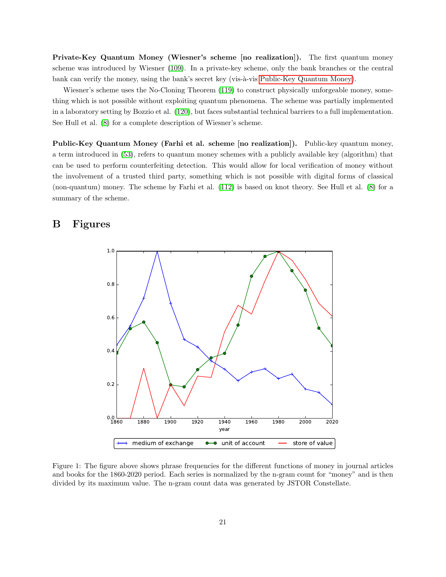Private-Key Quantum Money (Wiesner's scheme [no realization]). The first quantum money scheme was introduced by Wiesner [\(109\)](#page-25-20). In a private-key scheme, only the bank branches or the central bank can verify the money, using the bank's secret key (vis-à-vis [Public-Key Quantum Money\)](#page-20-2).

Wiesner's scheme uses the No-Cloning Theorem [\(119\)](#page-26-8) to construct physically unforgeable money, something which is not possible without exploiting quantum phenomena. The scheme was partially implemented in a laboratory setting by Bozzio et al. [\(120\)](#page-26-9), but faces substantial technical barriers to a full implementation. See Hull et al. [\(8\)](#page-21-12) for a complete description of Wiesner's scheme.

<span id="page-20-2"></span>Public-Key Quantum Money (Farhi et al. scheme [no realization]). Public-key quantum money, a term introduced in [\(53\)](#page-23-7), refers to quantum money schemes with a publicly available key (algorithm) that can be used to perform counterfeiting detection. This would allow for local verification of money without the involvement of a trusted third party, something which is not possible with digital forms of classical (non-quantum) money. The scheme by Farhi et al. [\(112\)](#page-26-1) is based on knot theory. See Hull et al. [\(8\)](#page-21-12) for a summary of the scheme.

### <span id="page-20-1"></span>B Figures



<span id="page-20-0"></span>Figure 1: The figure above shows phrase frequencies for the different functions of money in journal articles and books for the 1860-2020 period. Each series is normalized by the n-gram count for "money" and is then divided by its maximum value. The n-gram count data was generated by JSTOR Constellate.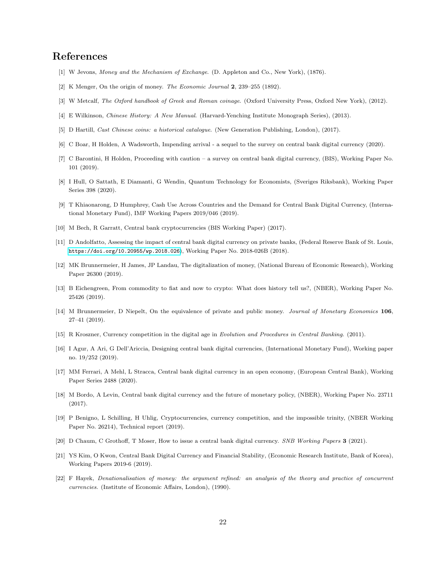### References

- <span id="page-21-0"></span>[1] W Jevons, Money and the Mechanism of Exchange. (D. Appleton and Co., New York), (1876).
- <span id="page-21-1"></span>[2] K Menger, On the origin of money. The Economic Journal 2, 239–255 (1892).
- [3] W Metcalf, The Oxford handbook of Greek and Roman coinage. (Oxford University Press, Oxford New York), (2012).
- [4] E Wilkinson, Chinese History: A New Manual. (Harvard-Yenching Institute Monograph Series), (2013).
- <span id="page-21-2"></span>[5] D Hartill, Cast Chinese coins: a historical catalogue. (New Generation Publishing, London), (2017).
- <span id="page-21-3"></span>[6] C Boar, H Holden, A Wadsworth, Impending arrival - a sequel to the survey on central bank digital currency (2020).
- <span id="page-21-4"></span>[7] C Barontini, H Holden, Proceeding with caution – a survey on central bank digital currency, (BIS), Working Paper No. 101 (2019).
- <span id="page-21-12"></span>[8] I Hull, O Sattath, E Diamanti, G Wendin, Quantum Technology for Economists, (Sveriges Riksbank), Working Paper Series 398 (2020).
- <span id="page-21-5"></span>[9] T Khiaonarong, D Humphrey, Cash Use Across Countries and the Demand for Central Bank Digital Currency, (International Monetary Fund), IMF Working Papers 2019/046 (2019).
- <span id="page-21-6"></span>[10] M Bech, R Garratt, Central bank cryptocurrencies (BIS Working Paper) (2017).
- [11] D Andolfatto, Assessing the impact of central bank digital currency on private banks, (Federal Reserve Bank of St. Louis, <https://doi.org/10.20955/wp.2018.026>), Working Paper No. 2018-026B (2018).
- <span id="page-21-9"></span>[12] MK Brunnermeier, H James, JP Landau, The digitalization of money, (National Bureau of Economic Research), Working Paper 26300 (2019).
- [13] B Eichengreen, From commodity to fiat and now to crypto: What does history tell us?, (NBER), Working Paper No. 25426 (2019).
- <span id="page-21-7"></span>[14] M Brunnermeier, D Niepelt, On the equivalence of private and public money. Journal of Monetary Economics 106, 27–41 (2019).
- <span id="page-21-8"></span>[15] R Kroszner, Currency competition in the digital age in Evolution and Procedures in Central Banking. (2011).
- <span id="page-21-10"></span>[16] I Agur, A Ari, G Dell'Ariccia, Designing central bank digital currencies, (International Monetary Fund), Working paper no. 19/252 (2019).
- <span id="page-21-11"></span>[17] MM Ferrari, A Mehl, L Stracca, Central bank digital currency in an open economy, (European Central Bank), Working Paper Series 2488 (2020).
- <span id="page-21-13"></span>[18] M Bordo, A Levin, Central bank digital currency and the future of monetary policy, (NBER), Working Paper No. 23711 (2017).
- [19] P Benigno, L Schilling, H Uhlig, Cryptocurrencies, currency competition, and the impossible trinity, (NBER Working Paper No. 26214), Technical report (2019).
- <span id="page-21-14"></span>[20] D Chaum, C Grothoff, T Moser, How to issue a central bank digital currency. SNB Working Papers 3 (2021).
- <span id="page-21-15"></span>[21] YS Kim, O Kwon, Central Bank Digital Currency and Financial Stability, (Economic Research Institute, Bank of Korea), Working Papers 2019-6 (2019).
- <span id="page-21-16"></span>[22] F Hayek, Denationalisation of money: the argument refined: an analysis of the theory and practice of concurrent currencies. (Institute of Economic Affairs, London), (1990).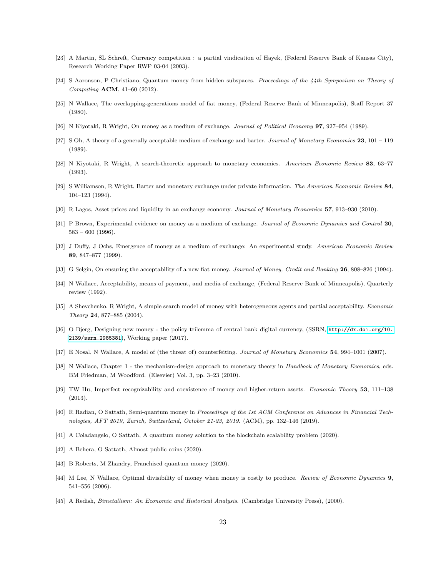- <span id="page-22-0"></span>[23] A Martin, SL Schreft, Currency competition : a partial vindication of Hayek, (Federal Reserve Bank of Kansas City), Research Working Paper RWP 03-04 (2003).
- <span id="page-22-1"></span>[24] S Aaronson, P Christiano, Quantum money from hidden subspaces. Proceedings of the 44th Symposium on Theory of Computing ACM, 41–60 (2012).
- <span id="page-22-2"></span>[25] N Wallace, The overlapping-generations model of fiat money, (Federal Reserve Bank of Minneapolis), Staff Report 37 (1980).
- <span id="page-22-3"></span>[26] N Kiyotaki, R Wright, On money as a medium of exchange. Journal of Political Economy 97, 927–954 (1989).
- <span id="page-22-4"></span>[27] S Oh, A theory of a generally acceptable medium of exchange and barter. Journal of Monetary Economics  $23$ ,  $101 - 119$ (1989).
- <span id="page-22-5"></span>[28] N Kiyotaki, R Wright, A search-theoretic approach to monetary economics. American Economic Review 83, 63–77 (1993).
- <span id="page-22-6"></span>[29] S Williamson, R Wright, Barter and monetary exchange under private information. The American Economic Review 84, 104–123 (1994).
- <span id="page-22-7"></span>[30] R Lagos, Asset prices and liquidity in an exchange economy. Journal of Monetary Economics 57, 913–930 (2010).
- <span id="page-22-8"></span>[31] P Brown, Experimental evidence on money as a medium of exchange. Journal of Economic Dynamics and Control 20,  $583 - 600$  (1996).
- <span id="page-22-9"></span>[32] J Duffy, J Ochs, Emergence of money as a medium of exchange: An experimental study. American Economic Review 89, 847–877 (1999).
- <span id="page-22-10"></span>[33] G Selgin, On ensuring the acceptability of a new fiat money. Journal of Money, Credit and Banking 26, 808–826 (1994).
- <span id="page-22-11"></span>[34] N Wallace, Acceptability, means of payment, and media of exchange, (Federal Reserve Bank of Minneapolis), Quarterly review (1992).
- <span id="page-22-12"></span>[35] A Shevchenko, R Wright, A simple search model of money with heterogeneous agents and partial acceptability. *Economic* Theory 24, 877–885 (2004).
- <span id="page-22-13"></span>[36] O Bjerg, Designing new money - the policy trilemma of central bank digital currency, (SSRN, [http://dx.doi.org/10.](http://dx.doi.org/10.2139/ssrn.2985381) [2139/ssrn.2985381](http://dx.doi.org/10.2139/ssrn.2985381)), Working paper (2017).
- <span id="page-22-14"></span>[37] E Nosal, N Wallace, A model of (the threat of) counterfeiting. Journal of Monetary Economics 54, 994–1001 (2007).
- [38] N Wallace, Chapter 1 the mechanism-design approach to monetary theory in Handbook of Monetary Economics, eds. BM Friedman, M Woodford. (Elsevier) Vol. 3, pp. 3–23 (2010).
- <span id="page-22-15"></span>[39] TW Hu, Imperfect recognizability and coexistence of money and higher-return assets. Economic Theory 53, 111–138 (2013).
- <span id="page-22-16"></span>[40] R Radian, O Sattath, Semi-quantum money in Proceedings of the 1st ACM Conference on Advances in Financial Technologies, AFT 2019, Zurich, Switzerland, October 21-23, 2019. (ACM), pp. 132–146 (2019).
- [41] A Coladangelo, O Sattath, A quantum money solution to the blockchain scalability problem (2020).
- [42] A Behera, O Sattath, Almost public coins (2020).
- <span id="page-22-17"></span>[43] B Roberts, M Zhandry, Franchised quantum money (2020).
- <span id="page-22-18"></span>[44] M Lee, N Wallace, Optimal divisibility of money when money is costly to produce. Review of Economic Dynamics 9, 541–556 (2006).
- <span id="page-22-19"></span>[45] A Redish, *Bimetallism: An Economic and Historical Analysis.* (Cambridge University Press), (2000).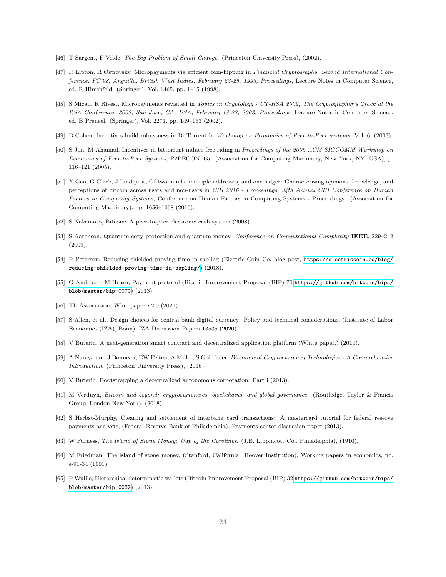- <span id="page-23-0"></span>[46] T Sargent, F Velde, The Big Problem of Small Change. (Princeton University Press), (2002).
- <span id="page-23-1"></span>[47] R Lipton, R Ostrovsky, Micropayments via efficient coin-flipping in Financial Cryptography, Second International Conference, FC'98, Anguilla, British West Indies, February 23-25, 1998, Proceedings, Lecture Notes in Computer Science, ed. R Hirschfeld. (Springer), Vol. 1465, pp. 1–15 (1998).
- <span id="page-23-2"></span>[48] S Micali, R Rivest, Micropayments revisited in Topics in Cryptology - CT-RSA 2002, The Cryptographer's Track at the RSA Conference, 2002, San Jose, CA, USA, February 18-22, 2002, Proceedings, Lecture Notes in Computer Science, ed. B Preneel. (Springer), Vol. 2271, pp. 149–163 (2002).
- <span id="page-23-3"></span>[49] B Cohen, Incentives build robustness in BitTorrent in Workshop on Economics of Peer-to-Peer systems. Vol. 6, (2003).
- <span id="page-23-4"></span>[50] S Jun, M Ahamad, Incentives in bittorrent induce free riding in Proceedings of the 2005 ACM SIGCOMM Workshop on Economics of Peer-to-Peer Systems, P2PECON '05. (Association for Computing Machinery, New York, NY, USA), p. 116–121 (2005).
- <span id="page-23-5"></span>[51] X Gao, G Clark, J Lindqvist, Of two minds, multiple addresses, and one ledger: Characterizing opinions, knowledge, and perceptions of bitcoin across users and non-users in CHI 2016 - Proceedings, 34th Annual CHI Conference on Human Factors in Computing Systems, Conference on Human Factors in Computing Systems - Proceedings. (Association for Computing Machinery), pp. 1656–1668 (2016).
- <span id="page-23-6"></span>[52] S Nakamoto, Bitcoin: A peer-to-peer electronic cash system (2008).
- <span id="page-23-7"></span>[53] S Aaronson, Quantum copy-protection and quantum money. Conference on Computational Complexity IEEE, 229-242 (2009).
- <span id="page-23-8"></span>[54] P Peterson, Reducing shielded proving time in sapling (Electric Coin Co. blog post, [https://electriccoin.co/blog/](https://electriccoin.co/blog/reducing-shielded-proving-time-in-sapling/) [reducing-shielded-proving-time-in-sapling/](https://electriccoin.co/blog/reducing-shielded-proving-time-in-sapling/)) (2018).
- <span id="page-23-9"></span>[55] G Andresen, M Hearn, Payment protocol (Bitcoin Improvement Proposal (BIP) 70 [https://github.com/bitcoin/bips/](https://github.com/bitcoin/bips/blob/master/bip-0070) [blob/master/bip-0070](https://github.com/bitcoin/bips/blob/master/bip-0070)) (2013).
- <span id="page-23-10"></span>[56] TL Association, Whitepaper v2.0 (2021).
- <span id="page-23-11"></span>[57] S Allen, et al., Design choices for central bank digital currency: Policy and technical considerations, (Institute of Labor Economics (IZA), Bonn), IZA Discussion Papers 13535 (2020).
- <span id="page-23-12"></span>[58] V Buterin, A next-generation smart contract and decentralized application platform (White paper.) (2014).
- <span id="page-23-13"></span>[59] A Narayanan, J Bonneau, EW Felten, A Miller, S Goldfeder, Bitcoin and Cryptocurrency Technologies - A Comprehensive Introduction. (Princeton University Press), (2016).
- <span id="page-23-14"></span>[60] V Buterin, Bootstrapping a decentralized autonomous corporation: Part i (2013).
- <span id="page-23-15"></span>[61] M Verduyn, Bitcoin and beyond: cryptocurrencies, blockchains, and global governance. (Routledge, Taylor & Francis Group, London New York), (2018).
- <span id="page-23-16"></span>[62] S Herbst-Murphy, Clearing and settlement of interbank card transactions: A mastercard tutorial for federal reserve payments analysts, (Federal Reserve Bank of Philadelphia), Payments center discussion paper (2013).
- <span id="page-23-17"></span>[63] W Furness, The Island of Stone Money: Uap of the Carolines. (J.B. Lippincott Co., Philadelphia), (1910).
- <span id="page-23-18"></span>[64] M Friedman, The island of stone money, (Stanford, California: Hoover Institution), Working papers in economics, no. e-91-34 (1991).
- <span id="page-23-19"></span>[65] P Wuille, Hierarchical deterministic wallets (Bitcoin Improvement Proposal (BIP) 32 [https://github.com/bitcoin/bips/](https://github.com/bitcoin/bips/blob/master/bip-0032) [blob/master/bip-0032](https://github.com/bitcoin/bips/blob/master/bip-0032)) (2013).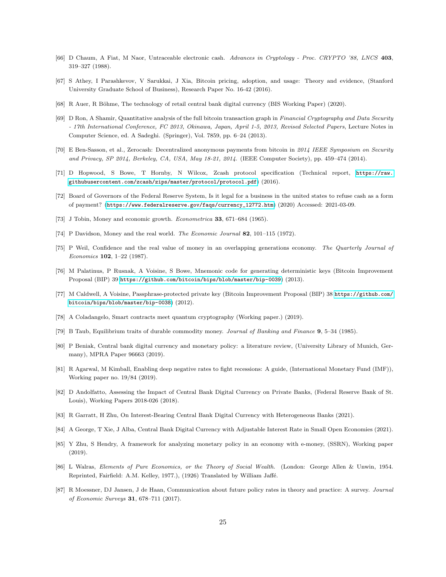- <span id="page-24-0"></span>[66] D Chaum, A Fiat, M Naor, Untraceable electronic cash. Advances in Cryptology - Proc. CRYPTO '88, LNCS 403, 319–327 (1988).
- <span id="page-24-1"></span>[67] S Athey, I Parashkevov, V Sarukkai, J Xia, Bitcoin pricing, adoption, and usage: Theory and evidence, (Stanford University Graduate School of Business), Research Paper No. 16-42 (2016).
- <span id="page-24-2"></span>[68] R Auer, R Böhme, The technology of retail central bank digital currency (BIS Working Paper) (2020).
- <span id="page-24-3"></span>[69] D Ron, A Shamir, Quantitative analysis of the full bitcoin transaction graph in Financial Cryptography and Data Security - 17th International Conference, FC 2013, Okinawa, Japan, April 1-5, 2013, Revised Selected Papers, Lecture Notes in Computer Science, ed. A Sadeghi. (Springer), Vol. 7859, pp. 6–24 (2013).
- <span id="page-24-4"></span>[70] E Ben-Sasson, et al., Zerocash: Decentralized anonymous payments from bitcoin in 2014 IEEE Symposium on Security and Privacy, SP 2014, Berkeley, CA, USA, May 18-21, 2014. (IEEE Computer Society), pp. 459–474 (2014).
- <span id="page-24-5"></span>[71] D Hopwood, S Bowe, T Hornby, N Wilcox, Zcash protocol specification (Technical report, [https://raw.](https://raw.githubusercontent.com/zcash/zips/master/protocol/protocol.pdf) [githubusercontent.com/zcash/zips/master/protocol/protocol.pdf](https://raw.githubusercontent.com/zcash/zips/master/protocol/protocol.pdf)) (2016).
- <span id="page-24-6"></span>[72] Board of Governors of the Federal Reserve System, Is it legal for a business in the united states to refuse cash as a form of payment? ([https://www.federalreserve.gov/faqs/currency\\_12772.htm](https://www.federalreserve.gov/faqs/currency_12772.htm)) (2020) Accessed: 2021-03-09.
- <span id="page-24-7"></span>[73] J Tobin, Money and economic growth. Econometrica 33, 671–684 (1965).
- <span id="page-24-8"></span>[74] P Davidson, Money and the real world. The Economic Journal 82, 101–115 (1972).
- <span id="page-24-9"></span>[75] P Weil, Confidence and the real value of money in an overlapping generations economy. The Quarterly Journal of Economics 102, 1–22 (1987).
- <span id="page-24-10"></span>[76] M Palatinus, P Rusnak, A Voisine, S Bowe, Mnemonic code for generating deterministic keys (Bitcoin Improvement Proposal (BIP) 39 <https://github.com/bitcoin/bips/blob/master/bip-0039>) (2013).
- <span id="page-24-11"></span>[77] M Caldwell, A Voisine, Passphrase-protected private key (Bitcoin Improvement Proposal (BIP) 38 [https://github.com/](https://github.com/bitcoin/bips/blob/master/bip-0038) [bitcoin/bips/blob/master/bip-0038](https://github.com/bitcoin/bips/blob/master/bip-0038)) (2012).
- <span id="page-24-12"></span>[78] A Coladangelo, Smart contracts meet quantum cryptography (Working paper.) (2019).
- <span id="page-24-13"></span>[79] B Taub, Equilibrium traits of durable commodity money. Journal of Banking and Finance 9, 5–34 (1985).
- <span id="page-24-14"></span>[80] P Beniak, Central bank digital currency and monetary policy: a literature review, (University Library of Munich, Germany), MPRA Paper 96663 (2019).
- <span id="page-24-15"></span>[81] R Agarwal, M Kimball, Enabling deep negative rates to fight recessions: A guide, (International Monetary Fund (IMF)), Working paper no. 19/84 (2019).
- <span id="page-24-16"></span>[82] D Andolfatto, Assessing the Impact of Central Bank Digital Currency on Private Banks, (Federal Reserve Bank of St. Louis), Working Papers 2018-026 (2018).
- <span id="page-24-17"></span>[83] R Garratt, H Zhu, On Interest-Bearing Central Bank Digital Currency with Heterogeneous Banks (2021).
- <span id="page-24-18"></span>[84] A George, T Xie, J Alba, Central Bank Digital Currency with Adjustable Interest Rate in Small Open Economies (2021).
- <span id="page-24-19"></span>[85] Y Zhu, S Hendry, A framework for analyzing monetary policy in an economy with e-money, (SSRN), Working paper (2019).
- <span id="page-24-20"></span>[86] L Walras, Elements of Pure Economics, or the Theory of Social Wealth. (London: George Allen & Unwin, 1954. Reprinted, Fairfield: A.M. Kelley, 1977.), (1926) Translated by William Jaffé.
- <span id="page-24-21"></span>[87] R Moessner, DJ Jansen, J de Haan, Communication about future policy rates in theory and practice: A survey. Journal of Economic Surveys 31, 678–711 (2017).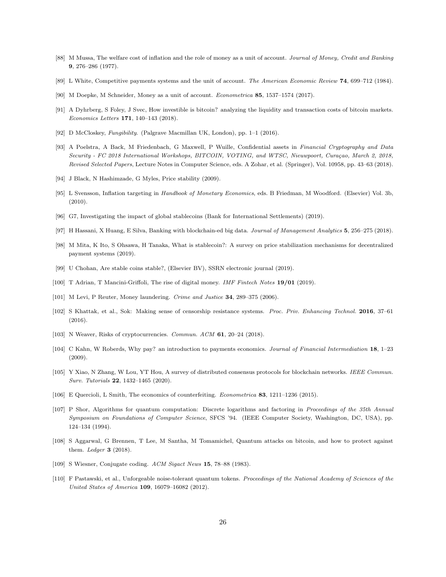- <span id="page-25-5"></span>[88] M Mussa, The welfare cost of inflation and the role of money as a unit of account. Journal of Money, Credit and Banking 9, 276–286 (1977).
- [89] L White, Competitive payments systems and the unit of account. The American Economic Review 74, 699–712 (1984).
- <span id="page-25-6"></span>[90] M Doepke, M Schneider, Money as a unit of account. Econometrica 85, 1537–1574 (2017).
- <span id="page-25-0"></span>[91] A Dyhrberg, S Foley, J Svec, How investible is bitcoin? analyzing the liquidity and transaction costs of bitcoin markets. Economics Letters 171, 140–143 (2018).
- <span id="page-25-1"></span>[92] D McCloskey, Fungibility. (Palgrave Macmillan UK, London), pp. 1–1 (2016).
- <span id="page-25-2"></span>[93] A Poelstra, A Back, M Friedenbach, G Maxwell, P Wuille, Confidential assets in Financial Cryptography and Data Security - FC 2018 International Workshops, BITCOIN, VOTING, and WTSC, Nieuwpoort, Curaçao, March 2, 2018, Revised Selected Papers, Lecture Notes in Computer Science, eds. A Zohar, et al. (Springer), Vol. 10958, pp. 43–63 (2018).
- <span id="page-25-3"></span>[94] J Black, N Hashimzade, G Myles, Price stability (2009).
- <span id="page-25-4"></span>[95] L Svensson, Inflation targeting in Handbook of Monetary Economics, eds. B Friedman, M Woodford. (Elsevier) Vol. 3b, (2010).
- <span id="page-25-7"></span>[96] G7, Investigating the impact of global stablecoins (Bank for International Settlements) (2019).
- <span id="page-25-8"></span>[97] H Hassani, X Huang, E Silva, Banking with blockchain-ed big data. Journal of Management Analytics 5, 256–275 (2018).
- <span id="page-25-9"></span>[98] M Mita, K Ito, S Ohsawa, H Tanaka, What is stablecoin?: A survey on price stabilization mechanisms for decentralized payment systems (2019).
- <span id="page-25-10"></span>[99] U Chohan, Are stable coins stable?, (Elsevier BV), SSRN electronic journal (2019).
- <span id="page-25-13"></span>[100] T Adrian, T Mancini-Griffoli, The rise of digital money. IMF Fintech Notes 19/01 (2019).
- <span id="page-25-11"></span>[101] M Levi, P Reuter, Money laundering. Crime and Justice 34, 289-375 (2006).
- <span id="page-25-12"></span>[102] S Khattak, et al., Sok: Making sense of censorship resistance systems. Proc. Priv. Enhancing Technol. 2016, 37–61 (2016).
- <span id="page-25-14"></span>[103] N Weaver, Risks of cryptocurrencies. Commun. ACM 61, 20–24 (2018).
- <span id="page-25-15"></span>[104] C Kahn, W Roberds, Why pay? an introduction to payments economics. Journal of Financial Intermediation 18, 1–23 (2009).
- <span id="page-25-16"></span>[105] Y Xiao, N Zhang, W Lou, YT Hou, A survey of distributed consensus protocols for blockchain networks. IEEE Commun. Surv. Tutorials 22, 1432–1465 (2020).
- <span id="page-25-17"></span>[106] E Quercioli, L Smith, The economics of counterfeiting. Econometrica 83, 1211–1236 (2015).
- <span id="page-25-18"></span>[107] P Shor, Algorithms for quantum computation: Discrete logarithms and factoring in Proceedings of the 35th Annual Symposium on Foundations of Computer Science, SFCS '94. (IEEE Computer Society, Washington, DC, USA), pp. 124–134 (1994).
- <span id="page-25-19"></span>[108] S Aggarwal, G Brennen, T Lee, M Santha, M Tomamichel, Quantum attacks on bitcoin, and how to protect against them. Ledger 3 (2018).
- <span id="page-25-20"></span>[109] S Wiesner, Conjugate coding. ACM Sigact News 15, 78–88 (1983).
- <span id="page-25-21"></span>[110] F Pastawski, et al., Unforgeable noise-tolerant quantum tokens. Proceedings of the National Academy of Sciences of the United States of America 109, 16079–16082 (2012).